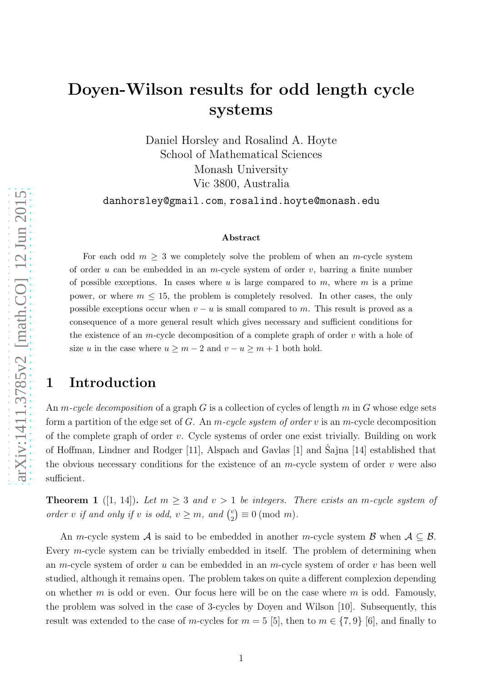# Doyen-Wilson results for odd length cycle systems

Daniel Horsley and Rosalind A. Hoyte School of Mathematical Sciences Monash University Vic 3800, Australia

danhorsley@gmail.com, rosalind.hoyte@monash.edu

#### Abstract

For each odd  $m \geq 3$  we completely solve the problem of when an m-cycle system of order u can be embedded in an m-cycle system of order  $v$ , barring a finite number of possible exceptions. In cases where u is large compared to m, where m is a prime power, or where  $m \leq 15$ , the problem is completely resolved. In other cases, the only possible exceptions occur when  $v - u$  is small compared to m. This result is proved as a consequence of a more general result which gives necessary and sufficient conditions for the existence of an m-cycle decomposition of a complete graph of order  $v$  with a hole of size u in the case where  $u \geq m - 2$  and  $v - u \geq m + 1$  both hold.

# 1 Introduction

An m-cycle decomposition of a graph G is a collection of cycles of length  $m$  in G whose edge sets form a partition of the edge set of G. An  $m$ -cycle system of order v is an  $m$ -cycle decomposition of the complete graph of order  $v$ . Cycle systems of order one exist trivially. Building on work of Hoffman, Lindner and Rodger [\[11\]](#page-27-0), Alspach and Gavlas [\[1\]](#page-26-0) and Sajna [\[14\]](#page-27-1) established that the obvious necessary conditions for the existence of an  $m$ -cycle system of order  $v$  were also sufficient.

<span id="page-0-0"></span>**Theorem 1** ([\[1,](#page-26-0) [14\]](#page-27-1)). Let  $m \geq 3$  and  $v > 1$  be integers. There exists an m-cycle system of order v if and only if v is odd,  $v \geq m$ , and  $\binom{v}{2}$  $\binom{v}{2} \equiv 0 \pmod{m}.$ 

An m-cycle system A is said to be embedded in another m-cycle system B when  $A \subseteq B$ . Every m-cycle system can be trivially embedded in itself. The problem of determining when an m-cycle system of order u can be embedded in an m-cycle system of order v has been well studied, although it remains open. The problem takes on quite a different complexion depending on whether m is odd or even. Our focus here will be on the case where m is odd. Famously, the problem was solved in the case of 3-cycles by Doyen and Wilson [\[10\]](#page-27-2). Subsequently, this result was extended to the case of m-cycles for  $m = 5$  [\[5\]](#page-27-3), then to  $m \in \{7, 9\}$  [\[6\]](#page-27-4), and finally to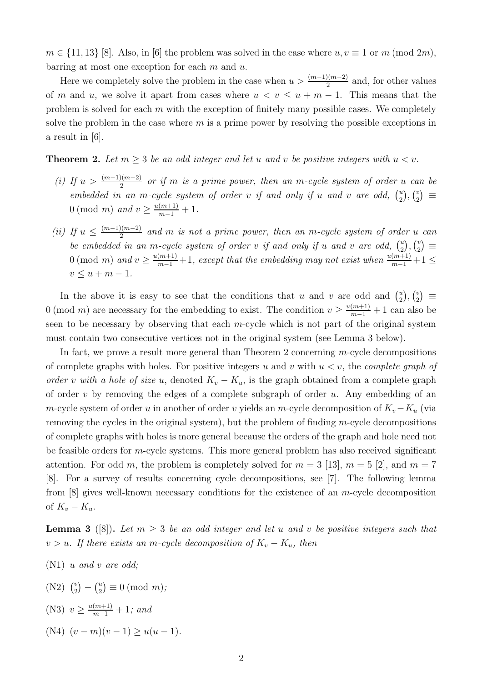$m \in \{11, 13\}$  [\[8\]](#page-27-5). Also, in [\[6\]](#page-27-4) the problem was solved in the case where  $u, v \equiv 1$  or m (mod 2m), barring at most one exception for each  $m$  and  $u$ .

Here we completely solve the problem in the case when  $u > \frac{(m-1)(m-2)}{2}$  and, for other values of m and u, we solve it apart from cases where  $u < v \le u + m - 1$ . This means that the problem is solved for each  $m$  with the exception of finitely many possible cases. We completely solve the problem in the case where  $m$  is a prime power by resolving the possible exceptions in a result in [\[6\]](#page-27-4).

<span id="page-1-1"></span>**Theorem 2.** Let  $m \geq 3$  be an odd integer and let u and v be positive integers with  $u < v$ .

- (i) If  $u > \frac{(m-1)(m-2)}{2}$  or if m is a prime power, then an m-cycle system of order u can be embedded in an m-cycle system of order v if and only if u and v are odd,  $\binom{u}{2}$  $\binom{u}{2}$ ,  $\binom{v}{2}$  $\binom{v}{2} \equiv$ 0 (mod *m*) and  $v \ge \frac{u(m+1)}{m-1} + 1$ .
- (ii) If  $u \leq \frac{(m-1)(m-2)}{2}$  $\frac{2(n^2-2)}{2}$  and m is not a prime power, then an m-cycle system of order u can be embedded in an m-cycle system of order v if and only if u and v are odd,  $\binom{u}{2}$  $\binom{u}{2}$ ,  $\binom{v}{2}$  $\binom{v}{2} \equiv$  $0 \pmod{m}$  and  $v \geq \frac{u(m+1)}{m-1} + 1$ , except that the embedding may not exist when  $\frac{u(m+1)}{m-1} + 1 \leq$  $v \le u + m - 1.$

In the above it is easy to see that the conditions that u and v are odd and  $\binom{u}{2}$  $\binom{u}{2}$ ,  $\binom{v}{2}$  $\binom{v}{2} \equiv$ 0 (mod *m*) are necessary for the embedding to exist. The condition  $v \ge \frac{u(m+1)}{m-1} + 1$  can also be seen to be necessary by observing that each  $m$ -cycle which is not part of the original system must contain two consecutive vertices not in the original system (see Lemma [3](#page-1-0) below).

In fact, we prove a result more general than Theorem [2](#page-1-1) concerning m-cycle decompositions of complete graphs with holes. For positive integers u and v with  $u < v$ , the *complete graph of* order v with a hole of size u, denoted  $K_v - K_u$ , is the graph obtained from a complete graph of order  $v$  by removing the edges of a complete subgraph of order  $u$ . Any embedding of an m-cycle system of order u in another of order v yields an m-cycle decomposition of  $K_v-K_u$  (via removing the cycles in the original system), but the problem of finding  $m$ -cycle decompositions of complete graphs with holes is more general because the orders of the graph and hole need not be feasible orders for  $m$ -cycle systems. This more general problem has also received significant attention. For odd m, the problem is completely solved for  $m = 3$  [\[13\]](#page-27-6),  $m = 5$  [\[2\]](#page-26-1), and  $m = 7$ [\[8\]](#page-27-5). For a survey of results concerning cycle decompositions, see [\[7\]](#page-27-7). The following lemma from  $[8]$  gives well-known necessary conditions for the existence of an m-cycle decomposition of  $K_v - K_u$ .

<span id="page-1-0"></span>**Lemma 3** ([\[8\]](#page-27-5)). Let  $m \geq 3$  be an odd integer and let u and v be positive integers such that  $v > u$ . If there exists an m-cycle decomposition of  $K_v - K_u$ , then

- $(N1)$  u and v are odd;
- $(N2)$   $\binom{v}{2}$  $\binom{v}{2} - \binom{u}{2}$  $\binom{u}{2} \equiv 0 \pmod{m}$ ;
- (N3)  $v \geq \frac{u(m+1)}{m-1} + 1$ ; and
- (N4)  $(v m)(v 1) > u(u 1)$ .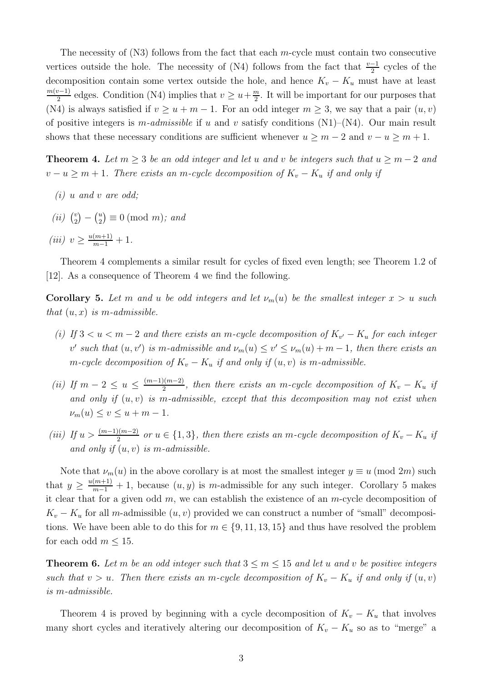The necessity of  $(N3)$  follows from the fact that each m-cycle must contain two consecutive vertices outside the hole. The necessity of (N4) follows from the fact that  $\frac{v-1}{2}$  cycles of the decomposition contain some vertex outside the hole, and hence  $K_v - K_u$  must have at least  $m(v-1)$  $\frac{2^{v-1}}{2}$  edges. Condition (N4) implies that  $v \geq u + \frac{m}{2}$  $\frac{m}{2}$ . It will be important for our purposes that (N4) is always satisfied if  $v \ge u + m - 1$ . For an odd integer  $m \ge 3$ , we say that a pair  $(u, v)$ of positive integers is m-admissible if u and v satisfy conditions  $(N1)$ – $(N4)$ . Our main result shows that these necessary conditions are sufficient whenever  $u \ge m - 2$  and  $v - u \ge m + 1$ .

<span id="page-2-0"></span>**Theorem 4.** Let  $m \geq 3$  be an odd integer and let u and v be integers such that  $u \geq m-2$  and  $v - u \ge m + 1$ . There exists an m-cycle decomposition of  $K_v - K_u$  if and only if

- $(i)$  u and v are odd:
- $(ii)$   $\binom{v}{2}$  $\binom{v}{2} - \binom{u}{2}$  $\binom{u}{2} \equiv 0 \pmod{m}$ ; and
- (iii)  $v \geq \frac{u(m+1)}{m-1} + 1$ .

Theorem [4](#page-2-0) complements a similar result for cycles of fixed even length; see Theorem 1.2 of [\[12\]](#page-27-8). As a consequence of Theorem [4](#page-2-0) we find the following.

<span id="page-2-1"></span>Corollary 5. Let m and u be odd integers and let  $\nu_m(u)$  be the smallest integer  $x > u$  such that  $(u, x)$  is m-admissible.

- (i) If  $3 < u < m-2$  and there exists an m-cycle decomposition of  $K_{v'} K_u$  for each integer v' such that  $(u, v')$  is m-admissible and  $\nu_m(u) \le v' \le \nu_m(u) + m - 1$ , then there exists an m-cycle decomposition of  $K_v - K_u$  if and only if  $(u, v)$  is m-admissible.
- (ii) If  $m-2 \leq u \leq \frac{(m-1)(m-2)}{2}$  $\frac{2(n-2)}{2}$ , then there exists an m-cycle decomposition of  $K_v - K_u$  if and only if  $(u, v)$  is m-admissible, except that this decomposition may not exist when  $\nu_m(u) \leq v \leq u + m - 1.$
- (iii) If  $u > \frac{(m-1)(m-2)}{2}$  or  $u \in \{1,3\}$ , then there exists an m-cycle decomposition of  $K_v K_u$  if and only if  $(u, v)$  is m-admissible.

Note that  $\nu_m(u)$  in the above corollary is at most the smallest integer  $y \equiv u \pmod{2m}$  such that  $y \geq \frac{u(m+1)}{m-1} + 1$ , because  $(u, y)$  is m-admissible for any such integer. Corollary [5](#page-2-1) makes it clear that for a given odd  $m$ , we can establish the existence of an  $m$ -cycle decomposition of  $K_v - K_u$  for all m-admissible  $(u, v)$  provided we can construct a number of "small" decompositions. We have been able to do this for  $m \in \{9, 11, 13, 15\}$  and thus have resolved the problem for each odd  $m \leq 15$ .

<span id="page-2-2"></span>**Theorem 6.** Let m be an odd integer such that  $3 \le m \le 15$  and let u and v be positive integers such that  $v > u$ . Then there exists an m-cycle decomposition of  $K_v - K_u$  if and only if  $(u, v)$ is m-admissible.

Theorem [4](#page-2-0) is proved by beginning with a cycle decomposition of  $K_v - K_u$  that involves many short cycles and iteratively altering our decomposition of  $K_v - K_u$  so as to "merge" a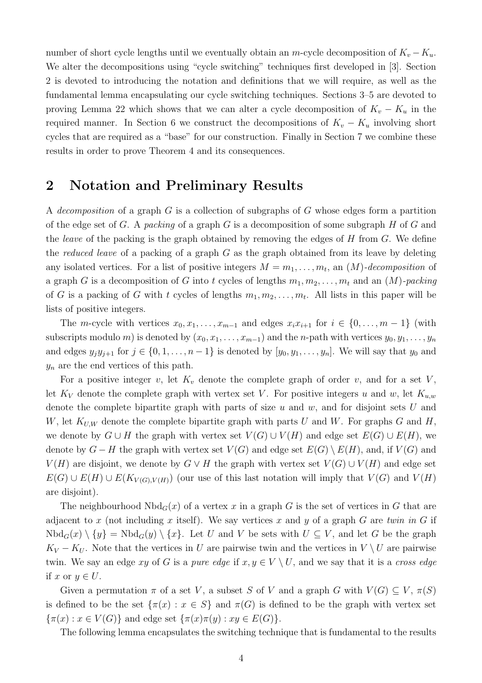number of short cycle lengths until we eventually obtain an m-cycle decomposition of  $K_v - K_u$ . We alter the decompositions using "cycle switching" techniques first developed in [\[3\]](#page-26-2). Section [2](#page-3-0) is devoted to introducing the notation and definitions that we will require, as well as the fundamental lemma encapsulating our cycle switching techniques. Sections [3–](#page-5-0)[5](#page-13-0) are devoted to proving Lemma [22](#page-15-0) which shows that we can alter a cycle decomposition of  $K_v - K_u$  in the required manner. In Section [6](#page-16-0) we construct the decompositions of  $K_v - K_u$  involving short cycles that are required as a "base" for our construction. Finally in Section [7](#page-24-0) we combine these results in order to prove Theorem [4](#page-2-0) and its consequences.

### <span id="page-3-0"></span>2 Notation and Preliminary Results

A decomposition of a graph G is a collection of subgraphs of G whose edges form a partition of the edge set of G. A packing of a graph G is a decomposition of some subgraph H of G and the *leave* of the packing is the graph obtained by removing the edges of  $H$  from  $G$ . We define the reduced leave of a packing of a graph  $G$  as the graph obtained from its leave by deleting any isolated vertices. For a list of positive integers  $M = m_1, \ldots, m_t$ , an  $(M)$ -decomposition of a graph G is a decomposition of G into t cycles of lengths  $m_1, m_2, \ldots, m_t$  and an  $(M)$ -packing of G is a packing of G with t cycles of lengths  $m_1, m_2, \ldots, m_t$ . All lists in this paper will be lists of positive integers.

The m-cycle with vertices  $x_0, x_1, \ldots, x_{m-1}$  and edges  $x_i x_{i+1}$  for  $i \in \{0, \ldots, m-1\}$  (with subscripts modulo m) is denoted by  $(x_0, x_1, \ldots, x_{m-1})$  and the n-path with vertices  $y_0, y_1, \ldots, y_n$ and edges  $y_jy_{j+1}$  for  $j \in \{0,1,\ldots,n-1\}$  is denoted by  $[y_0, y_1, \ldots, y_n]$ . We will say that  $y_0$  and  $y_n$  are the end vertices of this path.

For a positive integer v, let  $K_v$  denote the complete graph of order v, and for a set V, let  $K_V$  denote the complete graph with vertex set V. For positive integers u and w, let  $K_{u,w}$ denote the complete bipartite graph with parts of size  $u$  and  $w$ , and for disjoint sets  $U$  and W, let  $K_{U,W}$  denote the complete bipartite graph with parts U and W. For graphs G and H, we denote by  $G \cup H$  the graph with vertex set  $V(G) \cup V(H)$  and edge set  $E(G) \cup E(H)$ , we denote by  $G - H$  the graph with vertex set  $V(G)$  and edge set  $E(G) \setminus E(H)$ , and, if  $V(G)$  and  $V(H)$  are disjoint, we denote by  $G \vee H$  the graph with vertex set  $V(G) \cup V(H)$  and edge set  $E(G) \cup E(H) \cup E(K_{V(G), V(H)})$  (our use of this last notation will imply that  $V(G)$  and  $V(H)$ are disjoint).

The neighbourhood  $Nbd_G(x)$  of a vertex x in a graph G is the set of vertices in G that are adjacent to x (not including x itself). We say vertices x and y of a graph G are twin in G if  $Nbd_G(x) \setminus \{y\} = Nbd_G(y) \setminus \{x\}.$  Let U and V be sets with  $U \subseteq V$ , and let G be the graph  $K_V - K_U$ . Note that the vertices in U are pairwise twin and the vertices in  $V \setminus U$  are pairwise twin. We say an edge xy of G is a pure edge if  $x, y \in V \setminus U$ , and we say that it is a cross edge if x or  $y \in U$ .

Given a permutation  $\pi$  of a set V, a subset S of V and a graph G with  $V(G) \subseteq V$ ,  $\pi(S)$ is defined to be the set  $\{\pi(x): x \in S\}$  and  $\pi(G)$  is defined to be the graph with vertex set  $\{\pi(x): x \in V(G)\}\$ and edge set  $\{\pi(x)\pi(y): xy \in E(G)\}.$ 

The following lemma encapsulates the switching technique that is fundamental to the results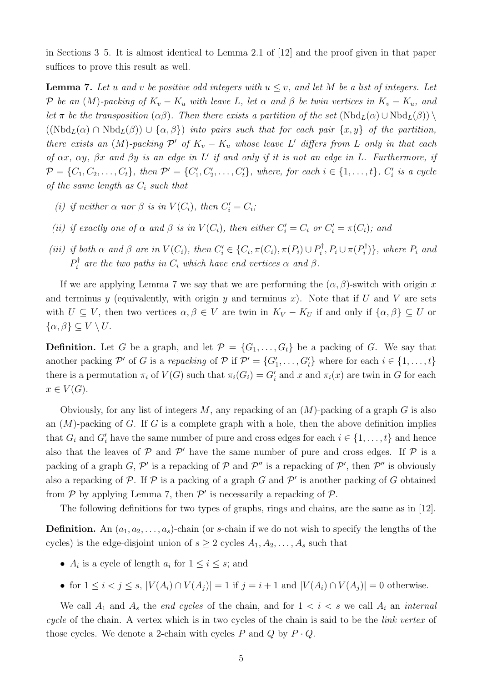in Sections [3](#page-5-0)[–5.](#page-13-0) It is almost identical to Lemma 2.1 of [\[12\]](#page-27-8) and the proof given in that paper suffices to prove this result as well.

<span id="page-4-0"></span>**Lemma 7.** Let u and v be positive odd integers with  $u \leq v$ , and let M be a list of integers. Let P be an  $(M)$ -packing of  $K_v - K_u$  with leave L, let  $\alpha$  and  $\beta$  be twin vertices in  $K_v - K_u$ , and let  $\pi$  be the transposition  $(\alpha\beta)$ . Then there exists a partition of the set  $(Nbd_L(\alpha) \cup Nbd_L(\beta)) \setminus$  $((Nbd<sub>L</sub>(\alpha) \cap Nbd<sub>L</sub>(\beta)) \cup {\alpha, \beta})$  into pairs such that for each pair  $\{x, y\}$  of the partition, there exists an  $(M)$ -packing  $\mathcal{P}'$  of  $K_v - K_u$  whose leave L' differs from L only in that each of  $\alpha x$ ,  $\alpha y$ ,  $\beta x$  and  $\beta y$  is an edge in L' if and only if it is not an edge in L. Furthermore, if  $\mathcal{P} = \{C_1, C_2, \ldots, C_t\}$ , then  $\mathcal{P}' = \{C'_1, C'_2, \ldots, C'_t\}$ , where, for each  $i \in \{1, \ldots, t\}$ ,  $C'_i$  is a cycle of the same length as  $C_i$  such that

- (i) if neither  $\alpha$  nor  $\beta$  is in  $V(C_i)$ , then  $C'_i = C_i$ ;
- (ii) if exactly one of  $\alpha$  and  $\beta$  is in  $V(C_i)$ , then either  $C'_i = C_i$  or  $C'_i = \pi(C_i)$ ; and
- (iii) if both  $\alpha$  and  $\beta$  are in  $V(C_i)$ , then  $C'_i \in \{C_i, \pi(C_i), \pi(P_i) \cup P_i^{\dagger}\}$  $P_i^{\dagger}, P_i \cup \pi(P_i^{\dagger})$  $\{p_i^{\dagger}\}\}$ , where  $P_i$  and  $P_i^\dagger$  $a_i^{\dagger}$  are the two paths in  $C_i$  which have end vertices  $\alpha$  and  $\beta$ .

If we are applying Lemma [7](#page-4-0) we say that we are performing the  $(\alpha, \beta)$ -switch with origin x and terminus y (equivalently, with origin y and terminus x). Note that if U and V are sets with  $U \subseteq V$ , then two vertices  $\alpha, \beta \in V$  are twin in  $K_V - K_U$  if and only if  $\{\alpha, \beta\} \subseteq U$  or  $\{\alpha,\beta\}\subseteq V\setminus U.$ 

**Definition.** Let G be a graph, and let  $\mathcal{P} = \{G_1, \ldots, G_t\}$  be a packing of G. We say that another packing  $\mathcal{P}'$  of G is a repacking of  $\mathcal{P}$  if  $\mathcal{P}' = \{G'_1, \ldots, G'_t\}$  where for each  $i \in \{1, \ldots, t\}$ there is a permutation  $\pi_i$  of  $V(G)$  such that  $\pi_i(G_i) = G'_i$  and  $x$  and  $\pi_i(x)$  are twin in G for each  $x \in V(G)$ .

Obviously, for any list of integers  $M$ , any repacking of an  $(M)$ -packing of a graph  $G$  is also an  $(M)$ -packing of G. If G is a complete graph with a hole, then the above definition implies that  $G_i$  and  $G'_i$  have the same number of pure and cross edges for each  $i \in \{1, \ldots, t\}$  and hence also that the leaves of  $P$  and  $P'$  have the same number of pure and cross edges. If  $P$  is a packing of a graph G,  $\mathcal{P}'$  is a repacking of  $\mathcal P$  and  $\mathcal P''$  is a repacking of  $\mathcal P'$ , then  $\mathcal P''$  is obviously also a repacking of  $P$ . If  $P$  is a packing of a graph G and  $P'$  is another packing of G obtained from  $P$  by applying Lemma [7,](#page-4-0) then  $P'$  is necessarily a repacking of  $P$ .

The following definitions for two types of graphs, rings and chains, are the same as in [\[12\]](#page-27-8).

**Definition.** An  $(a_1, a_2, \ldots, a_s)$ -chain (or s-chain if we do not wish to specify the lengths of the cycles) is the edge-disjoint union of  $s \geq 2$  cycles  $A_1, A_2, \ldots, A_s$  such that

- $A_i$  is a cycle of length  $a_i$  for  $1 \leq i \leq s$ ; and
- for  $1 \leq i < j \leq s$ ,  $|V(A_i) \cap V(A_j)| = 1$  if  $j = i + 1$  and  $|V(A_i) \cap V(A_j)| = 0$  otherwise.

We call  $A_1$  and  $A_s$  the end cycles of the chain, and for  $1 < i < s$  we call  $A_i$  an internal cycle of the chain. A vertex which is in two cycles of the chain is said to be the link vertex of those cycles. We denote a 2-chain with cycles  $P$  and  $Q$  by  $P \cdot Q$ .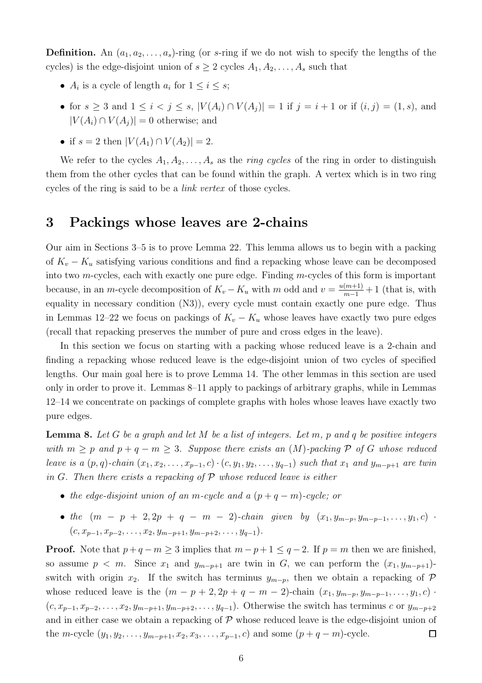**Definition.** An  $(a_1, a_2, \ldots, a_s)$ -ring (or s-ring if we do not wish to specify the lengths of the cycles) is the edge-disjoint union of  $s \geq 2$  cycles  $A_1, A_2, \ldots, A_s$  such that

- $A_i$  is a cycle of length  $a_i$  for  $1 \leq i \leq s$ ;
- for  $s \ge 3$  and  $1 \le i < j \le s$ ,  $|V(A_i) \cap V(A_j)| = 1$  if  $j = i + 1$  or if  $(i, j) = (1, s)$ , and  $|V(A_i) \cap V(A_i)| = 0$  otherwise; and
- if  $s = 2$  then  $|V(A_1) \cap V(A_2)| = 2$ .

We refer to the cycles  $A_1, A_2, \ldots, A_s$  as the *ring cycles* of the ring in order to distinguish them from the other cycles that can be found within the graph. A vertex which is in two ring cycles of the ring is said to be a link vertex of those cycles.

#### <span id="page-5-0"></span>3 Packings whose leaves are 2-chains

Our aim in Sections [3](#page-5-0)[–5](#page-13-0) is to prove Lemma [22.](#page-15-0) This lemma allows us to begin with a packing of  $K_v - K_u$  satisfying various conditions and find a repacking whose leave can be decomposed into two m-cycles, each with exactly one pure edge. Finding m-cycles of this form is important because, in an m-cycle decomposition of  $K_v - K_u$  with m odd and  $v = \frac{u(m+1)}{m-1} + 1$  (that is, with equality in necessary condition (N3)), every cycle must contain exactly one pure edge. Thus in Lemmas [12–](#page-7-0)[22](#page-15-0) we focus on packings of  $K_v - K_u$  whose leaves have exactly two pure edges (recall that repacking preserves the number of pure and cross edges in the leave).

In this section we focus on starting with a packing whose reduced leave is a 2-chain and finding a repacking whose reduced leave is the edge-disjoint union of two cycles of specified lengths. Our main goal here is to prove Lemma [14.](#page-9-0) The other lemmas in this section are used only in order to prove it. Lemmas [8](#page-5-1)[–11](#page-7-1) apply to packings of arbitrary graphs, while in Lemmas [12](#page-7-0)[–14](#page-9-0) we concentrate on packings of complete graphs with holes whose leaves have exactly two pure edges.

<span id="page-5-1"></span>**Lemma 8.** Let G be a graph and let M be a list of integers. Let m, p and q be positive integers with  $m \geq p$  and  $p + q - m \geq 3$ . Suppose there exists an  $(M)$ -packing P of G whose reduced leave is a  $(p, q)$ -chain  $(x_1, x_2, \ldots, x_{p-1}, c) \cdot (c, y_1, y_2, \ldots, y_{q-1})$  such that  $x_1$  and  $y_{m-p+1}$  are twin in G. Then there exists a repacking of  $P$  whose reduced leave is either

- the edge-disjoint union of an m-cycle and a  $(p+q-m)$ -cycle; or
- the  $(m p + 2, 2p + q m 2)$ -chain given by  $(x_1, y_{m-p}, y_{m-p-1}, \ldots, y_1, c)$ .  $(c, x_{p-1}, x_{p-2}, \ldots, x_2, y_{m-p+1}, y_{m-p+2}, \ldots, y_{q-1}).$

**Proof.** Note that  $p + q - m \geq 3$  implies that  $m - p + 1 \leq q - 2$ . If  $p = m$  then we are finished, so assume  $p < m$ . Since  $x_1$  and  $y_{m-p+1}$  are twin in G, we can perform the  $(x_1, y_{m-p+1})$ switch with origin  $x_2$ . If the switch has terminus  $y_{m-p}$ , then we obtain a repacking of  $\mathcal P$ whose reduced leave is the  $(m - p + 2, 2p + q - m - 2)$ -chain  $(x_1, y_{m-p}, y_{m-p-1}, \ldots, y_1, c)$ .  $(c, x_{p-1}, x_{p-2}, \ldots, x_2, y_{m-p+1}, y_{m-p+2}, \ldots, y_{q-1})$ . Otherwise the switch has terminus c or  $y_{m-p+2}$ and in either case we obtain a repacking of  $P$  whose reduced leave is the edge-disjoint union of the m-cycle  $(y_1, y_2, \ldots, y_{m-p+1}, x_2, x_3, \ldots, x_{p-1}, c)$  and some  $(p+q-m)$ -cycle.  $\Box$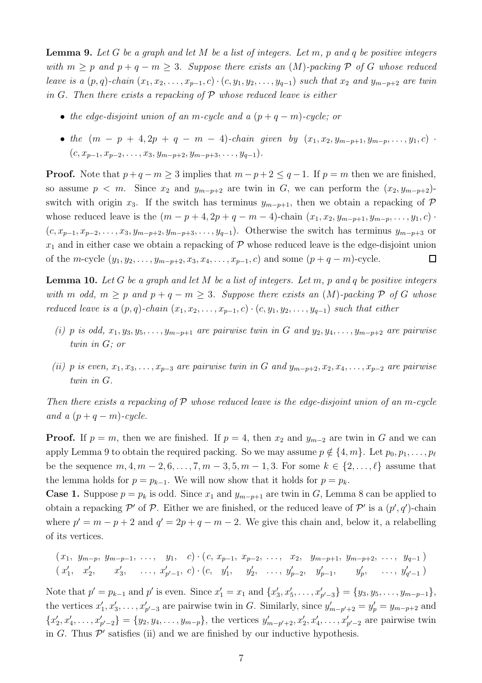<span id="page-6-0"></span>**Lemma 9.** Let G be a graph and let M be a list of integers. Let m, p and q be positive integers with  $m > p$  and  $p + q - m > 3$ . Suppose there exists an  $(M)$ -packing P of G whose reduced leave is a  $(p, q)$ -chain  $(x_1, x_2, \ldots, x_{p-1}, c) \cdot (c, y_1, y_2, \ldots, y_{q-1})$  such that  $x_2$  and  $y_{m-p+2}$  are twin in G. Then there exists a repacking of  $P$  whose reduced leave is either

- the edge-disjoint union of an m-cycle and a  $(p+q-m)$ -cycle; or
- the  $(m p + 4, 2p + q m 4)$ -chain given by  $(x_1, x_2, y_{m-p+1}, y_{m-p}, \ldots, y_1, c)$ .  $(c, x_{p-1}, x_{p-2}, \ldots, x_3, y_{m-p+2}, y_{m-p+3}, \ldots, y_{q-1}).$

**Proof.** Note that  $p + q - m \geq 3$  implies that  $m - p + 2 \leq q - 1$ . If  $p = m$  then we are finished, so assume  $p < m$ . Since  $x_2$  and  $y_{m-p+2}$  are twin in G, we can perform the  $(x_2, y_{m-p+2})$ switch with origin x<sub>3</sub>. If the switch has terminus  $y_{m-p+1}$ , then we obtain a repacking of P whose reduced leave is the  $(m - p + 4, 2p + q - m - 4)$ -chain  $(x_1, x_2, y_{m-p+1}, y_{m-p}, \ldots, y_1, c)$ .  $(c, x_{p-1}, x_{p-2}, \ldots, x_3, y_{m-p+2}, y_{m-p+3}, \ldots, y_{q-1})$ . Otherwise the switch has terminus  $y_{m-p+3}$  or  $x_1$  and in either case we obtain a repacking of  $P$  whose reduced leave is the edge-disjoint union of the m-cycle  $(y_1, y_2, \ldots, y_{m-p+2}, x_3, x_4, \ldots, x_{p-1}, c)$  and some  $(p+q-m)$ -cycle.  $\Box$ 

<span id="page-6-1"></span>**Lemma 10.** Let G be a graph and let M be a list of integers. Let m, p and q be positive integers with m odd,  $m \geq p$  and  $p + q - m \geq 3$ . Suppose there exists an  $(M)$ -packing P of G whose reduced leave is a  $(p, q)$ -chain  $(x_1, x_2, \ldots, x_{p-1}, c) \cdot (c, y_1, y_2, \ldots, y_{q-1})$  such that either

- (i) p is odd,  $x_1, y_3, y_5, \ldots, y_{m-p+1}$  are pairwise twin in G and  $y_2, y_4, \ldots, y_{m-p+2}$  are pairwise twin in G; or
- (ii) p is even,  $x_1, x_3, \ldots, x_{p-3}$  are pairwise twin in G and  $y_{m-p+2}, x_2, x_4, \ldots, x_{p-2}$  are pairwise twin in G.

Then there exists a repacking of  $P$  whose reduced leave is the edge-disjoint union of an m-cycle and a  $(p+q-m)$ -cycle.

**Proof.** If  $p = m$ , then we are finished. If  $p = 4$ , then  $x_2$  and  $y_{m-2}$  are twin in G and we can apply Lemma [9](#page-6-0) to obtain the required packing. So we may assume  $p \notin \{4, m\}$ . Let  $p_0, p_1, \ldots, p_\ell$ be the sequence  $m, 4, m-2, 6, ..., 7, m-3, 5, m-1, 3$ . For some  $k \in \{2, ..., \ell\}$  assume that the lemma holds for  $p = p_{k-1}$ . We will now show that it holds for  $p = p_k$ .

**Case 1.** Suppose  $p = p_k$  is odd. Since  $x_1$  and  $y_{m-p+1}$  are twin in G, Lemma [8](#page-5-1) can be applied to obtain a repacking P' of P. Either we are finished, or the reduced leave of P' is a  $(p', q')$ -chain where  $p' = m - p + 2$  and  $q' = 2p + q - m - 2$ . We give this chain and, below it, a relabelling of its vertices.

$$
(x_1, y_{m-p}, y_{m-p-1}, \ldots, y_1, c) \cdot (c, x_{p-1}, x_{p-2}, \ldots, x_2, y_{m-p+1}, y_{m-p+2}, \ldots, y_{q-1})
$$
  
\n $(x'_1, x'_2, x'_3, \ldots, x'_{p'-1}, c) \cdot (c, y'_1, y'_2, \ldots, y'_{p-2}, y'_{p-1}, y'_p, \ldots, y'_{q'-1})$ 

Note that  $p' = p_{k-1}$  and  $p'$  is even. Since  $x'_1 = x_1$  and  $\{x'_3, x'_5, \ldots, x'_{p'-3}\} = \{y_3, y_5, \ldots, y_{m-p-1}\},$ the vertices  $x'_1, x'_3, \ldots, x'_{p'-3}$  are pairwise twin in G. Similarly, since  $y'_{m-p'+2} = y'_p = y_{m-p+2}$  and  ${x'_2, x'_4, \ldots, x'_{p'-2}} = {y_2, y_4, \ldots, y_{m-p}}$ , the vertices  $y'_{m-p'+2}, x'_2, x'_4, \ldots, x'_{p'-2}$  are pairwise twin in G. Thus  $\mathcal{P}'$  satisfies (ii) and we are finished by our inductive hypothesis.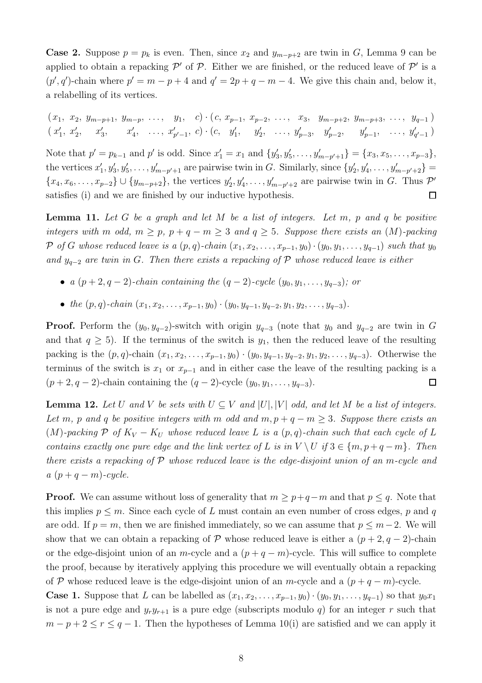**Case 2.** Suppose  $p = p_k$  is even. Then, since  $x_2$  and  $y_{m-p+2}$  are twin in G, Lemma [9](#page-6-0) can be applied to obtain a repacking  $\mathcal{P}'$  of  $\mathcal{P}$ . Either we are finished, or the reduced leave of  $\mathcal{P}'$  is a  $(p', q')$ -chain where  $p' = m - p + 4$  and  $q' = 2p + q - m - 4$ . We give this chain and, below it, a relabelling of its vertices.

 $(x_1, x_2, y_{m-p+1}, y_{m-p}, \ldots, y_1, c) \cdot (c, x_{p-1}, x_{p-2}, \ldots, x_3, y_{m-p+2}, y_{m-p+3}, \ldots, y_{q-1})$  $(x'_1, x'_2, x'_3, x'_4, \ldots, x'_{p'-1}, c) \cdot (c, y'_1, y'_2, \ldots, y'_{p-3}, y'_{p-2}, y'_{p-1}, \ldots, y'_{q'-1})$ 

Note that  $p' = p_{k-1}$  and  $p'$  is odd. Since  $x'_1 = x_1$  and  $\{y'_3, y'_5, \ldots, y'_{m-p'+1}\} = \{x_3, x_5, \ldots, x_{p-3}\},$ the vertices  $x'_1, y'_3, y'_5, \ldots, y'_{m-p'+1}$  are pairwise twin in G. Similarly, since  $\{y'_2, y'_4, \ldots, y'_{m-p'+2}\}$  $\{x_4, x_6, \ldots, x_{p-2}\} \cup \{y_{m-p+2}\}\$ , the vertices  $y'_2, y'_4, \ldots, y'_{m-p'+2}$  are pairwise twin in G. Thus  $\mathcal{P}'$ satisfies (i) and we are finished by our inductive hypothesis.  $\Box$ 

<span id="page-7-1"></span>**Lemma 11.** Let G be a graph and let M be a list of integers. Let  $m$ ,  $p$  and  $q$  be positive integers with m odd,  $m \geq p$ ,  $p + q - m \geq 3$  and  $q \geq 5$ . Suppose there exists an  $(M)$ -packing P of G whose reduced leave is a  $(p, q)$ -chain  $(x_1, x_2, \ldots, x_{p-1}, y_0) \cdot (y_0, y_1, \ldots, y_{q-1})$  such that  $y_0$ and  $y_{q-2}$  are twin in G. Then there exists a repacking of P whose reduced leave is either

- a  $(p+2, q-2)$ -chain containing the  $(q-2)$ -cycle  $(y_0, y_1, \ldots, y_{q-3})$ ; or
- the  $(p, q)$ -chain  $(x_1, x_2, \ldots, x_{p-1}, y_0) \cdot (y_0, y_{q-1}, y_{q-2}, y_1, y_2, \ldots, y_{q-3}).$

**Proof.** Perform the  $(y_0, y_{q-2})$ -switch with origin  $y_{q-3}$  (note that  $y_0$  and  $y_{q-2}$  are twin in G and that  $q \geq 5$ ). If the terminus of the switch is  $y_1$ , then the reduced leave of the resulting packing is the  $(p, q)$ -chain  $(x_1, x_2, \ldots, x_{p-1}, y_0) \cdot (y_0, y_{q-1}, y_{q-2}, y_1, y_2, \ldots, y_{q-3})$ . Otherwise the terminus of the switch is  $x_1$  or  $x_{p-1}$  and in either case the leave of the resulting packing is a  $(p+2, q-2)$ -chain containing the  $(q-2)$ -cycle  $(y_0, y_1, \ldots, y_{q-3})$ .  $\Box$ 

<span id="page-7-0"></span>**Lemma 12.** Let U and V be sets with  $U \subseteq V$  and  $|U|, |V|$  odd, and let M be a list of integers. Let m, p and q be positive integers with m odd and  $m, p + q - m \geq 3$ . Suppose there exists an (M)-packing P of  $K_V - K_U$  whose reduced leave L is a  $(p, q)$ -chain such that each cycle of L contains exactly one pure edge and the link vertex of L is in  $V \setminus U$  if  $3 \in \{m, p+q-m\}$ . Then there exists a repacking of  $\mathcal P$  whose reduced leave is the edge-disjoint union of an m-cycle and  $a (p + q - m)$ -cycle.

**Proof.** We can assume without loss of generality that  $m \geq p+q-m$  and that  $p \leq q$ . Note that this implies  $p \leq m$ . Since each cycle of L must contain an even number of cross edges, p and q are odd. If  $p = m$ , then we are finished immediately, so we can assume that  $p \leq m-2$ . We will show that we can obtain a repacking of P whose reduced leave is either a  $(p+2, q-2)$ -chain or the edge-disjoint union of an m-cycle and a  $(p+q-m)$ -cycle. This will suffice to complete the proof, because by iteratively applying this procedure we will eventually obtain a repacking of P whose reduced leave is the edge-disjoint union of an m-cycle and a  $(p+q-m)$ -cycle.

**Case 1.** Suppose that L can be labelled as  $(x_1, x_2, \ldots, x_{p-1}, y_0) \cdot (y_0, y_1, \ldots, y_{q-1})$  so that  $y_0x_1$ is not a pure edge and  $y_r y_{r+1}$  is a pure edge (subscripts modulo q) for an integer r such that  $m - p + 2 \le r \le q - 1$ . Then the hypotheses of Lemma [10\(](#page-6-1)i) are satisfied and we can apply it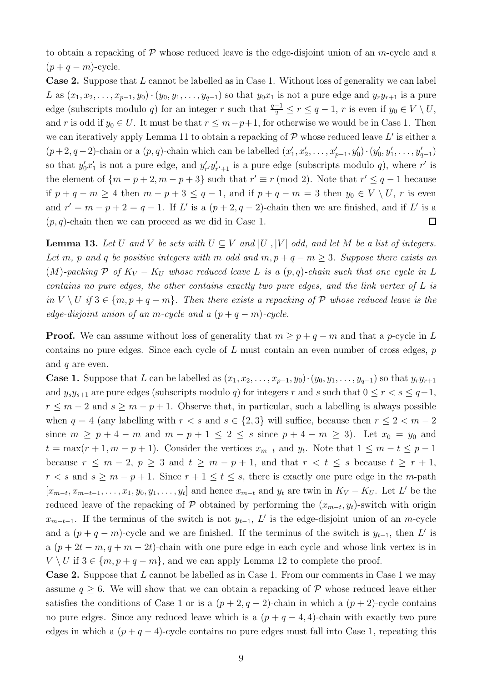to obtain a repacking of  $\mathcal P$  whose reduced leave is the edge-disjoint union of an m-cycle and a  $(p+q-m)$ -cycle.

Case 2. Suppose that L cannot be labelled as in Case 1. Without loss of generality we can label L as  $(x_1, x_2, \ldots, x_{p-1}, y_0) \cdot (y_0, y_1, \ldots, y_{q-1})$  so that  $y_0x_1$  is not a pure edge and  $y_ry_{r+1}$  is a pure edge (subscripts modulo q) for an integer r such that  $\frac{q-1}{2} \le r \le q-1$ , r is even if  $y_0 \in V \setminus U$ , and r is odd if  $y_0 \in U$ . It must be that  $r \leq m-p+1$ , for otherwise we would be in Case 1. Then we can iteratively apply Lemma [11](#page-7-1) to obtain a repacking of  $P$  whose reduced leave L' is either a  $(p+2, q-2)$ -chain or a  $(p, q)$ -chain which can be labelled  $(x'_1, x'_2, \ldots, x'_{p-1}, y'_0) \cdot (y'_0, y'_1, \ldots, y'_{q-1})$ so that  $y'_0x'_1$  is not a pure edge, and  $y'_{r'}y'_{r'+1}$  is a pure edge (subscripts modulo q), where r' is the element of  $\{m-p+2, m-p+3\}$  such that  $r' \equiv r \pmod{2}$ . Note that  $r' \leq q-1$  because if  $p + q - m \ge 4$  then  $m - p + 3 \le q - 1$ , and if  $p + q - m = 3$  then  $y_0 \in V \setminus U$ , r is even and  $r' = m - p + 2 = q - 1$ . If L' is a  $(p + 2, q - 2)$ -chain then we are finished, and if L' is a  $(p, q)$ -chain then we can proceed as we did in Case 1.  $\Box$ 

<span id="page-8-0"></span>**Lemma 13.** Let U and V be sets with  $U \subseteq V$  and  $|U|$ ,  $|V|$  odd, and let M be a list of integers. Let m, p and q be positive integers with m odd and  $m, p + q - m \geq 3$ . Suppose there exists an (M)-packing P of  $K_V - K_U$  whose reduced leave L is a  $(p, q)$ -chain such that one cycle in L contains no pure edges, the other contains exactly two pure edges, and the link vertex of L is in  $V \setminus U$  if  $3 \in \{m, p+q-m\}$ . Then there exists a repacking of P whose reduced leave is the edge-disjoint union of an m-cycle and a  $(p+q-m)$ -cycle.

**Proof.** We can assume without loss of generality that  $m \geq p + q - m$  and that a p-cycle in L contains no pure edges. Since each cycle of  $L$  must contain an even number of cross edges,  $p$ and  $q$  are even.

**Case 1.** Suppose that L can be labelled as  $(x_1, x_2, \ldots, x_{p-1}, y_0) \cdot (y_0, y_1, \ldots, y_{q-1})$  so that  $y_r y_{r+1}$ and  $y_s y_{s+1}$  are pure edges (subscripts modulo q) for integers r and s such that  $0 \le r < s \le q-1$ ,  $r \leq m-2$  and  $s \geq m-p+1$ . Observe that, in particular, such a labelling is always possible when  $q = 4$  (any labelling with  $r < s$  and  $s \in \{2, 3\}$  will suffice, because then  $r \leq 2 < m - 2$ since  $m \ge p + 4 - m$  and  $m - p + 1 \le 2 \le s$  since  $p + 4 - m \ge 3$ . Let  $x_0 = y_0$  and  $t = \max(r + 1, m - p + 1)$ . Consider the vertices  $x_{m-t}$  and  $y_t$ . Note that  $1 \leq m - t \leq p - 1$ because  $r \leq m-2$ ,  $p \geq 3$  and  $t \geq m-p+1$ , and that  $r < t \leq s$  because  $t \geq r+1$ ,  $r < s$  and  $s \geq m - p + 1$ . Since  $r + 1 \leq t \leq s$ , there is exactly one pure edge in the m-path  $[x_{m-t}, x_{m-t-1}, \ldots, x_1, y_0, y_1, \ldots, y_t]$  and hence  $x_{m-t}$  and  $y_t$  are twin in  $K_V - K_U$ . Let L' be the reduced leave of the repacking of P obtained by performing the  $(x_{m-t}, y_t)$ -switch with origin  $x_{m-t-1}$ . If the terminus of the switch is not  $y_{t-1}$ , L' is the edge-disjoint union of an m-cycle and a  $(p+q-m)$ -cycle and we are finished. If the terminus of the switch is  $y_{t-1}$ , then L' is a  $(p+2t-m, q+m-2t)$ -chain with one pure edge in each cycle and whose link vertex is in  $V \setminus U$  if  $3 \in \{m, p+q-m\}$ , and we can apply Lemma [12](#page-7-0) to complete the proof.

Case 2. Suppose that L cannot be labelled as in Case 1. From our comments in Case 1 we may assume  $q \geq 6$ . We will show that we can obtain a repacking of P whose reduced leave either satisfies the conditions of Case 1 or is a  $(p+2, q-2)$ -chain in which a  $(p+2)$ -cycle contains no pure edges. Since any reduced leave which is a  $(p+q-4, 4)$ -chain with exactly two pure edges in which a  $(p+q-4)$ -cycle contains no pure edges must fall into Case 1, repeating this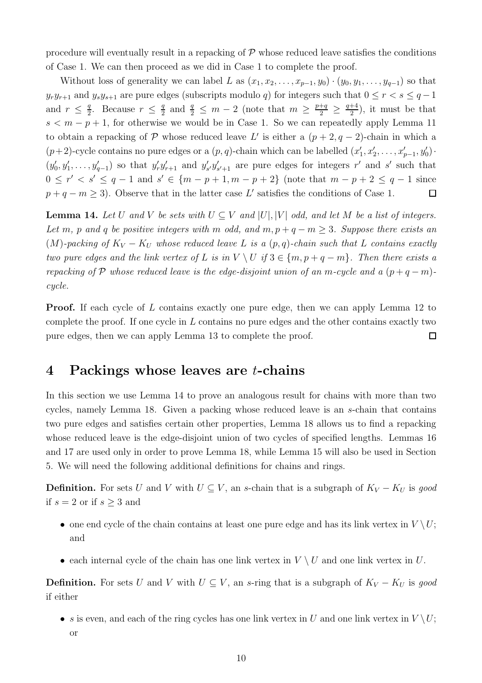procedure will eventually result in a repacking of  $\mathcal P$  whose reduced leave satisfies the conditions of Case 1. We can then proceed as we did in Case 1 to complete the proof.

Without loss of generality we can label L as  $(x_1, x_2, \ldots, x_{p-1}, y_0) \cdot (y_0, y_1, \ldots, y_{q-1})$  so that  $y_ry_{r+1}$  and  $y_sy_{s+1}$  are pure edges (subscripts modulo q) for integers such that  $0 \le r < s \le q-1$ and  $r \leq \frac{q}{2}$  $\frac{q}{2}$ . Because  $r \leq \frac{q}{2}$  $\frac{q}{2}$  and  $\frac{q}{2} \leq m-2$  (note that  $m \geq \frac{p+q}{2} \geq \frac{q+4}{2}$  $\frac{+4}{2}$ , it must be that  $s < m-p+1$ , for otherwise we would be in Case 1. So we can repeatedly apply Lemma [11](#page-7-1) to obtain a repacking of  $P$  whose reduced leave L' is either a  $(p+2, q-2)$ -chain in which a  $(p+2)$ -cycle contains no pure edges or a  $(p, q)$ -chain which can be labelled  $(x'_1, x'_2, \ldots, x'_{p-1}, y'_0)$ .  $(y'_0, y'_1, \ldots, y'_{q-1})$  so that  $y'_r y'_{r+1}$  and  $y'_{s'} y'_{s'+1}$  are pure edges for integers r' and s' such that  $0 \leq r' < s' \leq q - 1$  and  $s' \in \{m - p + 1, m - p + 2\}$  (note that  $m - p + 2 \leq q - 1$  since  $p + q - m \geq 3$ . Observe that in the latter case L' satisfies the conditions of Case 1.  $\Box$ 

<span id="page-9-0"></span>**Lemma 14.** Let U and V be sets with  $U \subseteq V$  and  $|U|$ ,  $|V|$  odd, and let M be a list of integers. Let m, p and q be positive integers with m odd, and  $m, p + q - m \geq 3$ . Suppose there exists an (M)-packing of  $K_V - K_U$  whose reduced leave L is a  $(p, q)$ -chain such that L contains exactly two pure edges and the link vertex of L is in  $V \setminus U$  if  $3 \in \{m, p + q - m\}$ . Then there exists a repacking of P whose reduced leave is the edge-disjoint union of an m-cycle and a  $(p+q-m)$ cycle.

Proof. If each cycle of L contains exactly one pure edge, then we can apply Lemma [12](#page-7-0) to complete the proof. If one cycle in L contains no pure edges and the other contains exactly two pure edges, then we can apply Lemma [13](#page-8-0) to complete the proof.  $\Box$ 

#### 4 Packings whose leaves are t-chains

In this section we use Lemma [14](#page-9-0) to prove an analogous result for chains with more than two cycles, namely Lemma [18.](#page-12-0) Given a packing whose reduced leave is an s-chain that contains two pure edges and satisfies certain other properties, Lemma [18](#page-12-0) allows us to find a repacking whose reduced leave is the edge-disjoint union of two cycles of specified lengths. Lemmas [16](#page-10-0) and [17](#page-11-0) are used only in order to prove Lemma [18,](#page-12-0) while Lemma [15](#page-10-1) will also be used in Section [5.](#page-13-0) We will need the following additional definitions for chains and rings.

**Definition.** For sets U and V with  $U \subseteq V$ , an s-chain that is a subgraph of  $K_V - K_U$  is good if  $s = 2$  or if  $s \geq 3$  and

- one end cycle of the chain contains at least one pure edge and has its link vertex in  $V \setminus U$ ; and
- each internal cycle of the chain has one link vertex in  $V \setminus U$  and one link vertex in U.

**Definition.** For sets U and V with  $U \subseteq V$ , an s-ring that is a subgraph of  $K_V - K_U$  is good if either

• s is even, and each of the ring cycles has one link vertex in U and one link vertex in  $V \setminus U$ ; or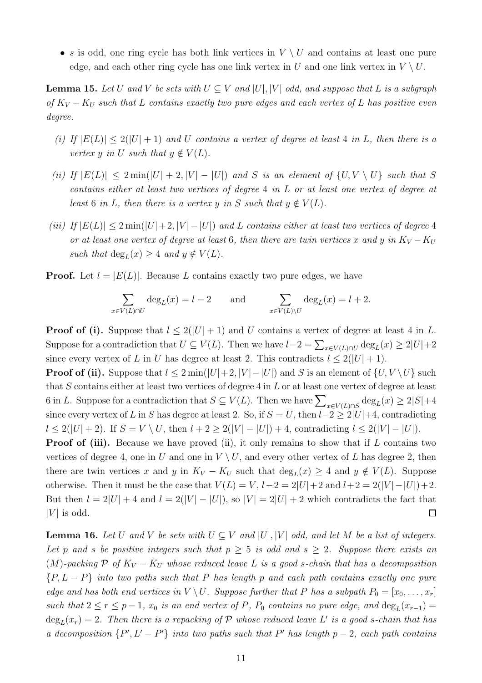• s is odd, one ring cycle has both link vertices in  $V \setminus U$  and contains at least one pure edge, and each other ring cycle has one link vertex in U and one link vertex in  $V \setminus U$ .

<span id="page-10-1"></span>**Lemma 15.** Let U and V be sets with  $U \subseteq V$  and  $|U|, |V|$  odd, and suppose that L is a subgraph of  $K_V - K_U$  such that L contains exactly two pure edges and each vertex of L has positive even degree.

- (i) If  $|E(L)| \leq 2(|U| + 1)$  and U contains a vertex of degree at least 4 in L, then there is a vertex y in U such that  $y \notin V(L)$ .
- (ii) If  $|E(L)| \leq 2 \min(|U| + 2, |V| |U|)$  and S is an element of  $\{U, V \setminus U\}$  such that S contains either at least two vertices of degree 4 in L or at least one vertex of degree at least 6 in L, then there is a vertex y in S such that  $y \notin V(L)$ .
- (iii) If  $|E(L)| \leq 2 \min(|U|+2, |V| |U|)$  and L contains either at least two vertices of degree 4 or at least one vertex of degree at least 6, then there are twin vertices x and y in  $K_V - K_U$ such that  $\deg_L(x) \geq 4$  and  $y \notin V(L)$ .

**Proof.** Let  $l = |E(L)|$ . Because L contains exactly two pure edges, we have

$$
\sum_{x \in V(L) \cap U} \deg_L(x) = l - 2 \quad \text{and} \quad \sum_{x \in V(L) \setminus U} \deg_L(x) = l + 2.
$$

**Proof of (i).** Suppose that  $l \leq 2(|U|+1)$  and U contains a vertex of degree at least 4 in L. Suppose for a contradiction that  $U \subseteq V(L)$ . Then we have  $l-2 = \sum_{x \in V(L) \cap U} \deg_L(x) \ge 2|U|+2$ since every vertex of L in U has degree at least 2. This contradicts  $l \leq 2(|U|+1)$ .

**Proof of (ii).** Suppose that  $l \leq 2 \min(|U|+2, |V| - |U|)$  and S is an element of  $\{U, V \setminus U\}$  such that  $S$  contains either at least two vertices of degree 4 in  $L$  or at least one vertex of degree at least 6 in L. Suppose for a contradiction that  $S \subseteq V(L)$ . Then we have  $\sum_{x \in V(L) \cap S} \deg_L(x) \geq 2|S|+4$ since every vertex of L in S has degree at least 2. So, if  $S = U$ , then  $l-2 \geq 2|U|+4$ , contradicting  $l \leq 2(|U| + 2)$ . If  $S = V \setminus U$ , then  $l + 2 \geq 2(|V| - |U|) + 4$ , contradicting  $l \leq 2(|V| - |U|)$ .

**Proof of (iii).** Because we have proved (ii), it only remains to show that if  $L$  contains two vertices of degree 4, one in U and one in  $V \setminus U$ , and every other vertex of L has degree 2, then there are twin vertices x and y in  $K_V - K_U$  such that  $deg_L(x) \geq 4$  and  $y \notin V(L)$ . Suppose otherwise. Then it must be the case that  $V(L) = V$ ,  $l-2 = 2|U|+2$  and  $l+2 = 2(|V| - |U|)+2$ . But then  $l = 2|U| + 4$  and  $l = 2(|V| - |U|)$ , so  $|V| = 2|U| + 2$  which contradicts the fact that  $|V|$  is odd.  $\Box$ 

<span id="page-10-0"></span>**Lemma 16.** Let U and V be sets with  $U \subseteq V$  and  $|U|$ ,  $|V|$  odd, and let M be a list of integers. Let p and s be positive integers such that  $p \geq 5$  is odd and  $s \geq 2$ . Suppose there exists an (M)-packing P of  $K_V - K_U$  whose reduced leave L is a good s-chain that has a decomposition  ${P, L - P}$  into two paths such that P has length p and each path contains exactly one pure edge and has both end vertices in  $V \setminus U$ . Suppose further that P has a subpath  $P_0 = [x_0, \ldots, x_r]$ such that  $2 \le r \le p-1$ ,  $x_0$  is an end vertex of P,  $P_0$  contains no pure edge, and  $\deg_L(x_{r-1}) =$  $\deg_L(x_r) = 2$ . Then there is a repacking of  $P$  whose reduced leave L' is a good s-chain that has a decomposition  $\{P', L' - P'\}$  into two paths such that P' has length  $p-2$ , each path contains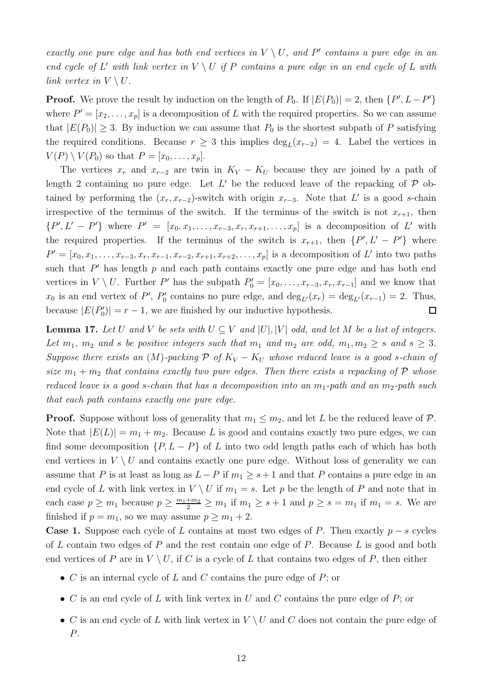exactly one pure edge and has both end vertices in  $V \setminus U$ , and P' contains a pure edge in an end cycle of L' with link vertex in  $V \setminus U$  if P contains a pure edge in an end cycle of L with link vertex in  $V \setminus U$ .

**Proof.** We prove the result by induction on the length of  $P_0$ . If  $|E(P_0)| = 2$ , then  $\{P', L - P'\}$ where  $P' = [x_2, \ldots, x_p]$  is a decomposition of L with the required properties. So we can assume that  $|E(P_0)| \geq 3$ . By induction we can assume that  $P_0$  is the shortest subpath of P satisfying the required conditions. Because  $r \geq 3$  this implies  $\deg_L(x_{r-2}) = 4$ . Label the vertices in  $V(P) \setminus V(P_0)$  so that  $P = [x_0, \ldots, x_p].$ 

The vertices  $x_r$  and  $x_{r-2}$  are twin in  $K_V - K_U$  because they are joined by a path of length 2 containing no pure edge. Let  $L'$  be the reduced leave of the repacking of  $P$  obtained by performing the  $(x_r, x_{r-2})$ -switch with origin  $x_{r-3}$ . Note that L' is a good s-chain irrespective of the terminus of the switch. If the terminus of the switch is not  $x_{r+1}$ , then  $\{P', L' - P'\}$  where  $P' = [x_0, x_1, \ldots, x_{r-3}, x_r, x_{r+1}, \ldots, x_p]$  is a decomposition of L' with the required properties. If the terminus of the switch is  $x_{r+1}$ , then  $\{P', L' - P'\}$  where  $P' = [x_0, x_1, \ldots, x_{r-3}, x_r, x_{r-1}, x_{r-2}, x_{r+1}, x_{r+2}, \ldots, x_p]$  is a decomposition of L' into two paths such that  $P'$  has length  $p$  and each path contains exactly one pure edge and has both end vertices in  $V \setminus U$ . Further P' has the subpath  $P'_0 = [x_0, \ldots, x_{r-3}, x_r, x_{r-1}]$  and we know that  $x_0$  is an end vertex of P',  $P'_0$  contains no pure edge, and  $\deg_{L'}(x_r) = \deg_{L'}(x_{r-1}) = 2$ . Thus, because  $|E(P'_0)| = r - 1$ , we are finished by our inductive hypothesis.  $\Box$ 

<span id="page-11-0"></span>**Lemma 17.** Let U and V be sets with  $U \subseteq V$  and  $|U|, |V|$  odd, and let M be a list of integers. Let  $m_1$ ,  $m_2$  and s be positive integers such that  $m_1$  and  $m_2$  are odd,  $m_1, m_2 \geq s$  and  $s \geq 3$ . Suppose there exists an  $(M)$ -packing  $\mathcal P$  of  $K_V - K_U$  whose reduced leave is a good s-chain of size  $m_1 + m_2$  that contains exactly two pure edges. Then there exists a repacking of P whose reduced leave is a good s-chain that has a decomposition into an  $m_1$ -path and an  $m_2$ -path such that each path contains exactly one pure edge.

**Proof.** Suppose without loss of generality that  $m_1 \leq m_2$ , and let L be the reduced leave of P. Note that  $|E(L)| = m_1 + m_2$ . Because L is good and contains exactly two pure edges, we can find some decomposition  $\{P, L - P\}$  of L into two odd length paths each of which has both end vertices in  $V \setminus U$  and contains exactly one pure edge. Without loss of generality we can assume that P is at least as long as  $L - P$  if  $m_1 \geq s + 1$  and that P contains a pure edge in an end cycle of L with link vertex in  $V \setminus U$  if  $m_1 = s$ . Let p be the length of P and note that in each case  $p \ge m_1$  because  $p \ge \frac{m_1 + m_2}{2} \ge m_1$  if  $m_1 \ge s + 1$  and  $p \ge s = m_1$  if  $m_1 = s$ . We are finished if  $p = m_1$ , so we may assume  $p \geq m_1 + 2$ .

**Case 1.** Suppose each cycle of L contains at most two edges of P. Then exactly  $p - s$  cycles of  $L$  contain two edges of  $P$  and the rest contain one edge of  $P$ . Because  $L$  is good and both end vertices of P are in  $V \setminus U$ , if C is a cycle of L that contains two edges of P, then either

- C is an internal cycle of L and C contains the pure edge of  $P$ ; or
- C is an end cycle of L with link vertex in U and C contains the pure edge of  $P$ ; or
- C is an end cycle of L with link vertex in  $V \setminus U$  and C does not contain the pure edge of P.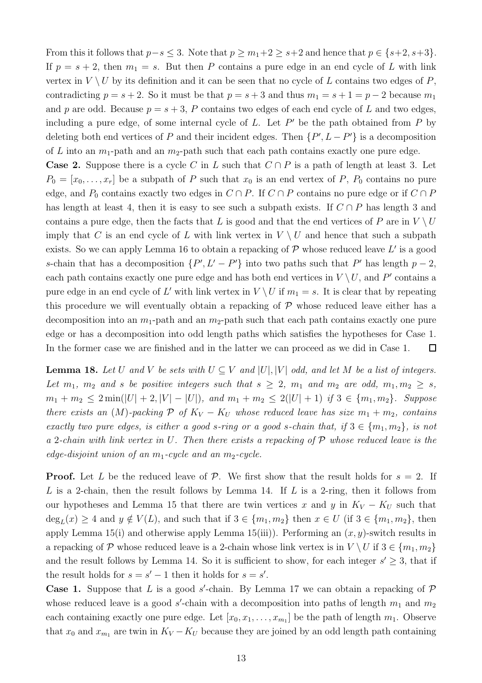From this it follows that  $p-s \leq 3$ . Note that  $p \geq m_1+2 \geq s+2$  and hence that  $p \in \{s+2, s+3\}$ . If  $p = s + 2$ , then  $m_1 = s$ . But then P contains a pure edge in an end cycle of L with link vertex in  $V \setminus U$  by its definition and it can be seen that no cycle of L contains two edges of P, contradicting  $p = s + 2$ . So it must be that  $p = s + 3$  and thus  $m_1 = s + 1 = p - 2$  because  $m_1$ and p are odd. Because  $p = s + 3$ , P contains two edges of each end cycle of L and two edges, including a pure edge, of some internal cycle of  $L$ . Let  $P'$  be the path obtained from  $P$  by deleting both end vertices of P and their incident edges. Then  $\{P', L - P'\}$  is a decomposition of L into an  $m_1$ -path and an  $m_2$ -path such that each path contains exactly one pure edge.

**Case 2.** Suppose there is a cycle C in L such that  $C \cap P$  is a path of length at least 3. Let  $P_0 = [x_0, \ldots, x_r]$  be a subpath of P such that  $x_0$  is an end vertex of P,  $P_0$  contains no pure edge, and  $P_0$  contains exactly two edges in  $C \cap P$ . If  $C \cap P$  contains no pure edge or if  $C \cap P$ has length at least 4, then it is easy to see such a subpath exists. If  $C \cap P$  has length 3 and contains a pure edge, then the facts that L is good and that the end vertices of P are in  $V \setminus U$ imply that C is an end cycle of L with link vertex in  $V \setminus U$  and hence that such a subpath exists. So we can apply Lemma [16](#page-10-0) to obtain a repacking of  $P$  whose reduced leave  $L'$  is a good s-chain that has a decomposition  $\{P', L' - P'\}$  into two paths such that P' has length  $p-2$ , each path contains exactly one pure edge and has both end vertices in  $V \setminus U$ , and P' contains a pure edge in an end cycle of L' with link vertex in  $V \setminus U$  if  $m_1 = s$ . It is clear that by repeating this procedure we will eventually obtain a repacking of  $P$  whose reduced leave either has a decomposition into an  $m_1$ -path and an  $m_2$ -path such that each path contains exactly one pure edge or has a decomposition into odd length paths which satisfies the hypotheses for Case 1. In the former case we are finished and in the latter we can proceed as we did in Case 1.  $\Box$ 

<span id="page-12-0"></span>**Lemma 18.** Let U and V be sets with  $U \subseteq V$  and  $|U|, |V|$  odd, and let M be a list of integers. Let  $m_1$ ,  $m_2$  and s be positive integers such that  $s \geq 2$ ,  $m_1$  and  $m_2$  are odd,  $m_1, m_2 \geq s$ ,  $m_1 + m_2 \leq 2 \min(|U| + 2, |V| - |U|)$ , and  $m_1 + m_2 \leq 2(|U| + 1)$  if  $3 \in \{m_1, m_2\}$ . Suppose there exists an (M)-packing  $P$  of  $K_V - K_U$  whose reduced leave has size  $m_1 + m_2$ , contains exactly two pure edges, is either a good s-ring or a good s-chain that, if  $3 \in \{m_1, m_2\}$ , is not a 2-chain with link vertex in U. Then there exists a repacking of  $P$  whose reduced leave is the edge-disjoint union of an  $m_1$ -cycle and an  $m_2$ -cycle.

**Proof.** Let L be the reduced leave of P. We first show that the result holds for  $s = 2$ . If L is a 2-chain, then the result follows by Lemma [14.](#page-9-0) If L is a 2-ring, then it follows from our hypotheses and Lemma [15](#page-10-1) that there are twin vertices x and y in  $K_V - K_U$  such that  $\deg_L(x) \geq 4$  and  $y \notin V(L)$ , and such that if  $3 \in \{m_1, m_2\}$  then  $x \in U$  (if  $3 \in \{m_1, m_2\}$ , then apply Lemma [15\(](#page-10-1)i) and otherwise apply Lemma 15(iii)). Performing an  $(x, y)$ -switch results in a repacking of P whose reduced leave is a 2-chain whose link vertex is in  $V \setminus U$  if  $3 \in \{m_1, m_2\}$ and the result follows by Lemma [14.](#page-9-0) So it is sufficient to show, for each integer  $s' \geq 3$ , that if the result holds for  $s = s' - 1$  then it holds for  $s = s'$ .

**Case 1.** Suppose that L is a good s'-chain. By Lemma [17](#page-11-0) we can obtain a repacking of  $\mathcal{P}$ whose reduced leave is a good  $s'$ -chain with a decomposition into paths of length  $m_1$  and  $m_2$ each containing exactly one pure edge. Let  $[x_0, x_1, \ldots, x_{m_1}]$  be the path of length  $m_1$ . Observe that  $x_0$  and  $x_{m_1}$  are twin in  $K_V - K_U$  because they are joined by an odd length path containing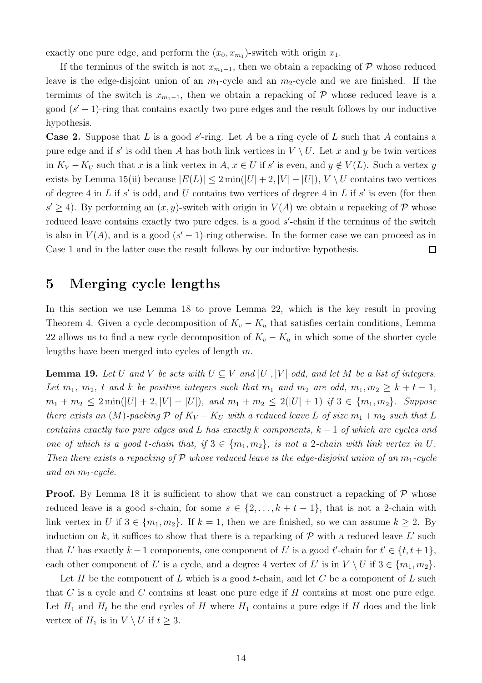exactly one pure edge, and perform the  $(x_0, x_{m_1})$ -switch with origin  $x_1$ .

If the terminus of the switch is not  $x_{m_1-1}$ , then we obtain a repacking of P whose reduced leave is the edge-disjoint union of an  $m_1$ -cycle and an  $m_2$ -cycle and we are finished. If the terminus of the switch is  $x_{m_1-1}$ , then we obtain a repacking of P whose reduced leave is a good  $(s'-1)$ -ring that contains exactly two pure edges and the result follows by our inductive hypothesis.

**Case 2.** Suppose that L is a good s'-ring. Let A be a ring cycle of L such that A contains a pure edge and if s' is odd then A has both link vertices in  $V \setminus U$ . Let x and y be twin vertices in  $K_V - K_U$  such that x is a link vertex in  $A, x \in U$  if s' is even, and  $y \notin V(L)$ . Such a vertex y exists by Lemma [15\(](#page-10-1)ii) because  $|E(L)| \leq 2 \min(|U| + 2, |V| - |U|)$ ,  $V \setminus U$  contains two vertices of degree 4 in L if  $s'$  is odd, and U contains two vertices of degree 4 in L if  $s'$  is even (for then  $s' \geq 4$ ). By performing an  $(x, y)$ -switch with origin in  $V(A)$  we obtain a repacking of P whose reduced leave contains exactly two pure edges, is a good s'-chain if the terminus of the switch is also in  $V(A)$ , and is a good  $(s'-1)$ -ring otherwise. In the former case we can proceed as in Case 1 and in the latter case the result follows by our inductive hypothesis.  $\Box$ 

# <span id="page-13-0"></span>5 Merging cycle lengths

In this section we use Lemma [18](#page-12-0) to prove Lemma [22,](#page-15-0) which is the key result in proving Theorem [4.](#page-2-0) Given a cycle decomposition of  $K_v - K_u$  that satisfies certain conditions, Lemma [22](#page-15-0) allows us to find a new cycle decomposition of  $K_v - K_u$  in which some of the shorter cycle lengths have been merged into cycles of length m.

<span id="page-13-1"></span>**Lemma 19.** Let U and V be sets with  $U \subseteq V$  and  $|U|$ ,  $|V|$  odd, and let M be a list of integers. Let  $m_1$ ,  $m_2$ , t and k be positive integers such that  $m_1$  and  $m_2$  are odd,  $m_1, m_2 \geq k+t-1$ ,  $m_1 + m_2 \leq 2 \min(|U| + 2, |V| - |U|)$ , and  $m_1 + m_2 \leq 2(|U| + 1)$  if  $3 \in \{m_1, m_2\}$ . Suppose there exists an (M)-packing  $P$  of  $K_V - K_U$  with a reduced leave L of size  $m_1 + m_2$  such that L contains exactly two pure edges and L has exactly k components,  $k-1$  of which are cycles and one of which is a good t-chain that, if  $3 \in \{m_1, m_2\}$ , is not a 2-chain with link vertex in U. Then there exists a repacking of P whose reduced leave is the edge-disjoint union of an  $m_1$ -cycle and an  $m_2$ -cycle.

**Proof.** By Lemma [18](#page-12-0) it is sufficient to show that we can construct a repacking of  $\mathcal{P}$  whose reduced leave is a good s-chain, for some  $s \in \{2, \ldots, k+t-1\}$ , that is not a 2-chain with link vertex in U if  $3 \in \{m_1, m_2\}$ . If  $k = 1$ , then we are finished, so we can assume  $k \geq 2$ . By induction on k, it suffices to show that there is a repacking of  $P$  with a reduced leave L' such that L' has exactly  $k-1$  components, one component of L' is a good t'-chain for  $t' \in \{t, t+1\}$ , each other component of L' is a cycle, and a degree 4 vertex of L' is in  $V \setminus U$  if  $3 \in \{m_1, m_2\}$ .

Let H be the component of L which is a good t-chain, and let C be a component of L such that  $C$  is a cycle and  $C$  contains at least one pure edge if  $H$  contains at most one pure edge. Let  $H_1$  and  $H_t$  be the end cycles of H where  $H_1$  contains a pure edge if H does and the link vertex of  $H_1$  is in  $V \setminus U$  if  $t \geq 3$ .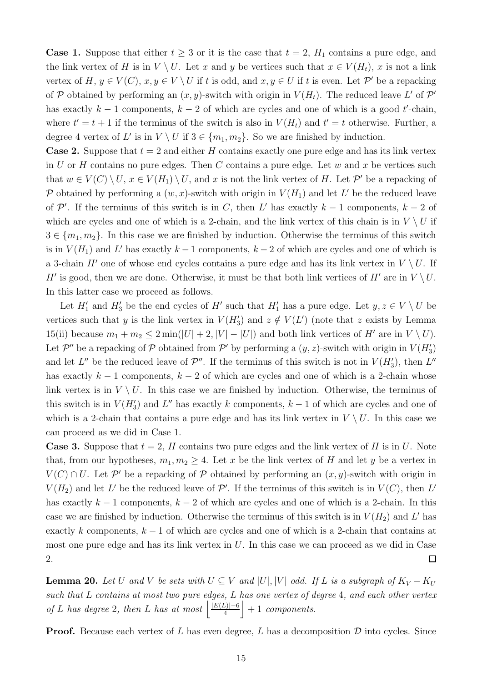**Case 1.** Suppose that either  $t \geq 3$  or it is the case that  $t = 2$ ,  $H_1$  contains a pure edge, and the link vertex of H is in  $V \setminus U$ . Let x and y be vertices such that  $x \in V(H_t)$ , x is not a link vertex of  $H, y \in V(C), x, y \in V \setminus U$  if t is odd, and  $x, y \in U$  if t is even. Let  $\mathcal{P}'$  be a repacking of P obtained by performing an  $(x, y)$ -switch with origin in  $V(H_t)$ . The reduced leave L' of P' has exactly  $k-1$  components,  $k-2$  of which are cycles and one of which is a good t'-chain, where  $t' = t + 1$  if the terminus of the switch is also in  $V(H_t)$  and  $t' = t$  otherwise. Further, a degree 4 vertex of L' is in  $V \setminus U$  if  $3 \in \{m_1, m_2\}$ . So we are finished by induction.

**Case 2.** Suppose that  $t = 2$  and either H contains exactly one pure edge and has its link vertex in U or H contains no pure edges. Then C contains a pure edge. Let w and x be vertices such that  $w \in V(C) \setminus U$ ,  $x \in V(H_1) \setminus U$ , and x is not the link vertex of H. Let  $\mathcal{P}'$  be a repacking of P obtained by performing a  $(w, x)$ -switch with origin in  $V(H_1)$  and let L' be the reduced leave of  $\mathcal{P}'$ . If the terminus of this switch is in C, then L' has exactly  $k-1$  components,  $k-2$  of which are cycles and one of which is a 2-chain, and the link vertex of this chain is in  $V \setminus U$  if  $3 \in \{m_1, m_2\}$ . In this case we are finished by induction. Otherwise the terminus of this switch is in  $V(H_1)$  and L' has exactly  $k-1$  components,  $k-2$  of which are cycles and one of which is a 3-chain H' one of whose end cycles contains a pure edge and has its link vertex in  $V \setminus U$ . If H' is good, then we are done. Otherwise, it must be that both link vertices of H' are in  $V \setminus U$ . In this latter case we proceed as follows.

Let  $H'_1$  and  $H'_3$  be the end cycles of  $H'$  such that  $H'_1$  has a pure edge. Let  $y, z \in V \setminus U$  be vertices such that y is the link vertex in  $V(H_3')$  and  $z \notin V(L')$  (note that z exists by Lemma [15\(](#page-10-1)ii) because  $m_1 + m_2 \leq 2 \min(|U| + 2, |V| - |U|)$  and both link vertices of H' are in  $V \setminus U$ . Let  $\mathcal{P}''$  be a repacking of  $\mathcal P$  obtained from  $\mathcal P'$  by performing a  $(y, z)$ -switch with origin in  $V(H_3')$ and let  $L''$  be the reduced leave of  $\mathcal{P}''$ . If the terminus of this switch is not in  $V(H'_3)$ , then  $L''$ has exactly  $k-1$  components,  $k-2$  of which are cycles and one of which is a 2-chain whose link vertex is in  $V \setminus U$ . In this case we are finished by induction. Otherwise, the terminus of this switch is in  $V(H_3')$  and  $L''$  has exactly k components,  $k-1$  of which are cycles and one of which is a 2-chain that contains a pure edge and has its link vertex in  $V \setminus U$ . In this case we can proceed as we did in Case 1.

**Case 3.** Suppose that  $t = 2$ , H contains two pure edges and the link vertex of H is in U. Note that, from our hypotheses,  $m_1, m_2 \geq 4$ . Let x be the link vertex of H and let y be a vertex in  $V(C) \cap U$ . Let P' be a repacking of P obtained by performing an  $(x, y)$ -switch with origin in  $V(H_2)$  and let L' be the reduced leave of P'. If the terminus of this switch is in  $V(C)$ , then L' has exactly  $k - 1$  components,  $k - 2$  of which are cycles and one of which is a 2-chain. In this case we are finished by induction. Otherwise the terminus of this switch is in  $V(H_2)$  and L' has exactly k components,  $k - 1$  of which are cycles and one of which is a 2-chain that contains at most one pure edge and has its link vertex in  $U$ . In this case we can proceed as we did in Case 2.  $\Box$ 

<span id="page-14-0"></span>**Lemma 20.** Let U and V be sets with  $U \subseteq V$  and  $|U|, |V|$  odd. If L is a subgraph of  $K_V - K_U$ such that L contains at most two pure edges, L has one vertex of degree 4, and each other vertex of L has degree 2, then L has at most  $\frac{|E(L)|-6}{4}$  $\frac{L|1-6}{4}$  + 1 components.

**Proof.** Because each vertex of L has even degree, L has a decomposition  $\mathcal{D}$  into cycles. Since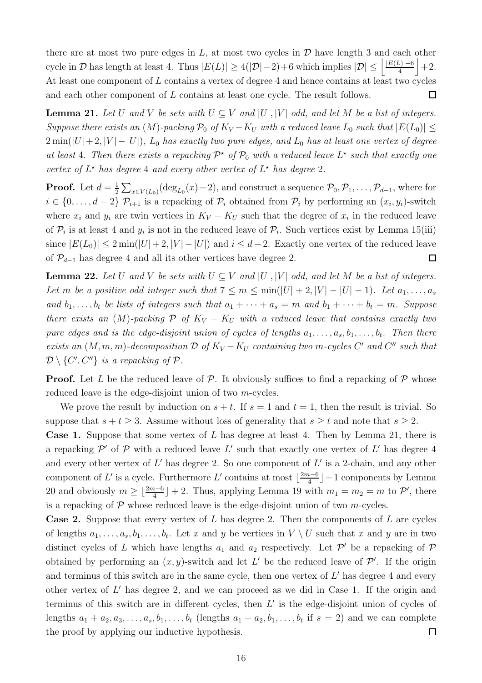there are at most two pure edges in  $L$ , at most two cycles in  $D$  have length 3 and each other cycle in D has length at least 4. Thus  $|E(L)| \geq 4(|\mathcal{D}|-2)+6$  which implies  $|\mathcal{D}| \leq \left|\frac{|E(L)|-6}{4}\right|$  $\frac{L|1-6}{4}$  + 2. At least one component of L contains a vertex of degree 4 and hence contains at least two cycles and each other component of L contains at least one cycle. The result follows.  $\Box$ 

<span id="page-15-1"></span>**Lemma 21.** Let U and V be sets with  $U \subseteq V$  and  $|U|, |V|$  odd, and let M be a list of integers. Suppose there exists an  $(M)$ -packing  $\mathcal{P}_0$  of  $K_V - K_U$  with a reduced leave  $L_0$  such that  $|E(L_0)| \leq$  $2 \min(|U|+2, |V| - |U|)$ ,  $L_0$  has exactly two pure edges, and  $L_0$  has at least one vertex of degree at least 4. Then there exists a repacking  $\mathcal{P}^*$  of  $\mathcal{P}_0$  with a reduced leave  $L^*$  such that exactly one vertex of  $L^*$  has degree 4 and every other vertex of  $L^*$  has degree 2.

**Proof.** Let  $d = \frac{1}{2}$  $\frac{1}{2}\sum_{x\in V(L_0)} (\deg_{L_0}(x)-2)$ , and construct a sequence  $\mathcal{P}_0, \mathcal{P}_1, \ldots, \mathcal{P}_{d-1}$ , where for  $i \in \{0, \ldots, d-2\}$   $\mathcal{P}_{i+1}$  is a repacking of  $\mathcal{P}_i$  obtained from  $\mathcal{P}_i$  by performing an  $(x_i, y_i)$ -switch where  $x_i$  and  $y_i$  are twin vertices in  $K_V - K_U$  such that the degree of  $x_i$  in the reduced leave of  $P_i$  is at least 4 and  $y_i$  is not in the reduced leave of  $P_i$ . Such vertices exist by Lemma [15\(](#page-10-1)iii) since  $|E(L_0)| \leq 2 \min(|U| + 2, |V| - |U|)$  and  $i \leq d-2$ . Exactly one vertex of the reduced leave of  $\mathcal{P}_{d-1}$  has degree 4 and all its other vertices have degree 2.  $\Box$ 

<span id="page-15-0"></span>**Lemma 22.** Let U and V be sets with  $U \subseteq V$  and  $|U|$ ,  $|V|$  odd, and let M be a list of integers. Let m be a positive odd integer such that  $7 \le m \le \min(|U| + 2, |V| - |U| - 1)$ . Let  $a_1, \ldots, a_s$ and  $b_1, \ldots, b_t$  be lists of integers such that  $a_1 + \cdots + a_s = m$  and  $b_1 + \cdots + b_t = m$ . Suppose there exists an  $(M)$ -packing  $\mathcal P$  of  $K_V - K_U$  with a reduced leave that contains exactly two pure edges and is the edge-disjoint union of cycles of lengths  $a_1, \ldots, a_s, b_1, \ldots, b_t$ . Then there exists an  $(M, m, m)$ -decomposition  $\mathcal{D}$  of  $K_V - K_U$  containing two m-cycles  $C'$  and  $C''$  such that  $\mathcal{D}\setminus\{C',C''\}$  is a repacking of  $\mathcal{P}.$ 

**Proof.** Let L be the reduced leave of P. It obviously suffices to find a repacking of P whose reduced leave is the edge-disjoint union of two m-cycles.

We prove the result by induction on  $s + t$ . If  $s = 1$  and  $t = 1$ , then the result is trivial. So suppose that  $s + t \geq 3$ . Assume without loss of generality that  $s \geq t$  and note that  $s \geq 2$ .

Case 1. Suppose that some vertex of L has degree at least 4. Then by Lemma [21,](#page-15-1) there is a repacking  $\mathcal{P}'$  of  $\mathcal P$  with a reduced leave L' such that exactly one vertex of L' has degree 4 and every other vertex of  $L'$  has degree 2. So one component of  $L'$  is a 2-chain, and any other component of L' is a cycle. Furthermore L' contains at most  $\lfloor \frac{2m-6}{4} \rfloor$  $\frac{a-6}{4}$  + 1 components by Lemma [20](#page-14-0) and obviously  $m \geq \lfloor \frac{2m-6}{4} \rfloor + 2$ . Thus, applying Lemma [19](#page-13-1) with  $m_1 = m_2 = m$  to  $\mathcal{P}'$ , there is a repacking of  $\mathcal P$  whose reduced leave is the edge-disjoint union of two *m*-cycles.

**Case 2.** Suppose that every vertex of L has degree 2. Then the components of L are cycles of lengths  $a_1, \ldots, a_s, b_1, \ldots, b_t$ . Let x and y be vertices in  $V \setminus U$  such that x and y are in two distinct cycles of L which have lengths  $a_1$  and  $a_2$  respectively. Let  $\mathcal{P}'$  be a repacking of  $\mathcal{P}$ obtained by performing an  $(x, y)$ -switch and let L' be the reduced leave of  $\mathcal{P}'$ . If the origin and terminus of this switch are in the same cycle, then one vertex of  $L'$  has degree 4 and every other vertex of  $L'$  has degree 2, and we can proceed as we did in Case 1. If the origin and terminus of this switch are in different cycles, then  $L'$  is the edge-disjoint union of cycles of lengths  $a_1 + a_2, a_3, \ldots, a_s, b_1, \ldots, b_t$  (lengths  $a_1 + a_2, b_1, \ldots, b_t$  if  $s = 2$ ) and we can complete the proof by applying our inductive hypothesis.  $\Box$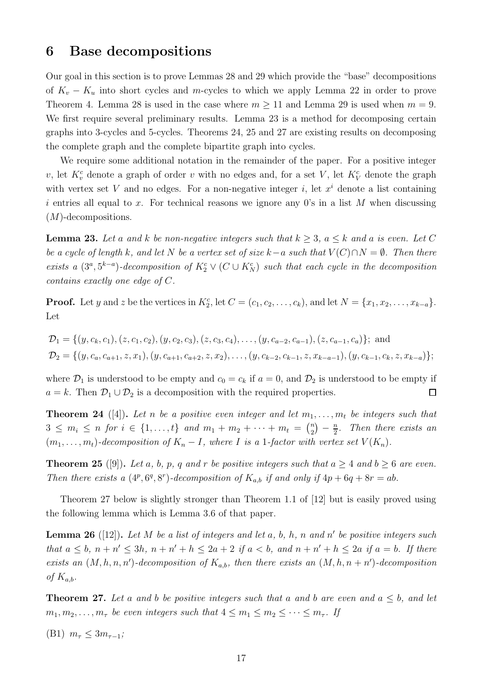### <span id="page-16-0"></span>6 Base decompositions

Our goal in this section is to prove Lemmas [28](#page-17-0) and [29](#page-21-0) which provide the "base" decompositions of  $K_v - K_u$  into short cycles and m-cycles to which we apply Lemma [22](#page-15-0) in order to prove Theorem [4.](#page-2-0) Lemma [28](#page-17-0) is used in the case where  $m \ge 11$  and Lemma [29](#page-21-0) is used when  $m = 9$ . We first require several preliminary results. Lemma [23](#page-16-1) is a method for decomposing certain graphs into 3-cycles and 5-cycles. Theorems [24,](#page-16-2) [25](#page-16-3) and [27](#page-16-4) are existing results on decomposing the complete graph and the complete bipartite graph into cycles.

We require some additional notation in the remainder of the paper. For a positive integer v, let  $K_v^c$  denote a graph of order v with no edges and, for a set V, let  $K_V^c$  denote the graph with vertex set V and no edges. For a non-negative integer i, let  $x^i$  denote a list containing i entries all equal to x. For technical reasons we ignore any  $0$ 's in a list M when discussing (M)-decompositions.

<span id="page-16-1"></span>**Lemma 23.** Let a and k be non-negative integers such that  $k \geq 3$ ,  $a \leq k$  and a is even. Let C be a cycle of length k, and let N be a vertex set of size k–a such that  $V(C) \cap N = \emptyset$ . Then there exists a  $(3^a, 5^{k-a})$ -decomposition of  $K_2^c \vee (C \cup K_N^c)$  such that each cycle in the decomposition contains exactly one edge of C.

**Proof.** Let y and z be the vertices in  $K_2^c$ , let  $C = (c_1, c_2, \ldots, c_k)$ , and let  $N = \{x_1, x_2, \ldots, x_{k-a}\}.$ Let

$$
\mathcal{D}_1 = \{ (y, c_k, c_1), (z, c_1, c_2), (y, c_2, c_3), (z, c_3, c_4), \dots, (y, c_{a-2}, c_{a-1}), (z, c_{a-1}, c_a) \}; \text{ and}
$$
  
\n
$$
\mathcal{D}_2 = \{ (y, c_a, c_{a+1}, z, x_1), (y, c_{a+1}, c_{a+2}, z, x_2), \dots, (y, c_{k-2}, c_{k-1}, z, x_{k-a-1}), (y, c_{k-1}, c_k, z, x_{k-a}) \};
$$

where  $\mathcal{D}_1$  is understood to be empty and  $c_0 = c_k$  if  $a = 0$ , and  $\mathcal{D}_2$  is understood to be empty if  $a = k$ . Then  $\mathcal{D}_1 \cup \mathcal{D}_2$  is a decomposition with the required properties.  $\Box$ 

<span id="page-16-2"></span>**Theorem 24** ([\[4\]](#page-27-9)). Let n be a positive even integer and let  $m_1, \ldots, m_t$  be integers such that  $3 \leq m_i \leq n$  for  $i \in \{1, ..., t\}$  and  $m_1 + m_2 + \cdots + m_t = \binom{n}{2}$  $\binom{n}{2} - \frac{n}{2}$  $\frac{n}{2}$ . Then there exists an  $(m_1, \ldots, m_t)$ -decomposition of  $K_n - I$ , where I is a 1-factor with vertex set  $V(K_n)$ .

<span id="page-16-3"></span>**Theorem 25** ([\[9\]](#page-27-10)). Let a, b, p, q and r be positive integers such that  $a \geq 4$  and  $b \geq 6$  are even. Then there exists a  $(4^p, 6^q, 8^r)$ -decomposition of  $K_{a,b}$  if and only if  $4p + 6q + 8r = ab$ .

Theorem [27](#page-16-4) below is slightly stronger than Theorem 1.1 of [\[12\]](#page-27-8) but is easily proved using the following lemma which is Lemma 3.6 of that paper.

<span id="page-16-5"></span>**Lemma 26** ([\[12\]](#page-27-8)). Let M be a list of integers and let a, b, h, n and n' be positive integers such that  $a \leq b$ ,  $n + n' \leq 3h$ ,  $n + n' + h \leq 2a + 2$  if  $a < b$ , and  $n + n' + h \leq 2a$  if  $a = b$ . If there exists an  $(M, h, n, n')$ -decomposition of  $K_{a,b}$ , then there exists an  $(M, h, n + n')$ -decomposition of  $K_{a,b}$ .

<span id="page-16-4"></span>**Theorem 27.** Let a and b be positive integers such that a and b are even and  $a \leq b$ , and let  $m_1, m_2, \ldots, m_\tau$  be even integers such that  $4 \leq m_1 \leq m_2 \leq \cdots \leq m_\tau$ . If

(B1)  $m_{\tau} \leq 3m_{\tau-1}$ ;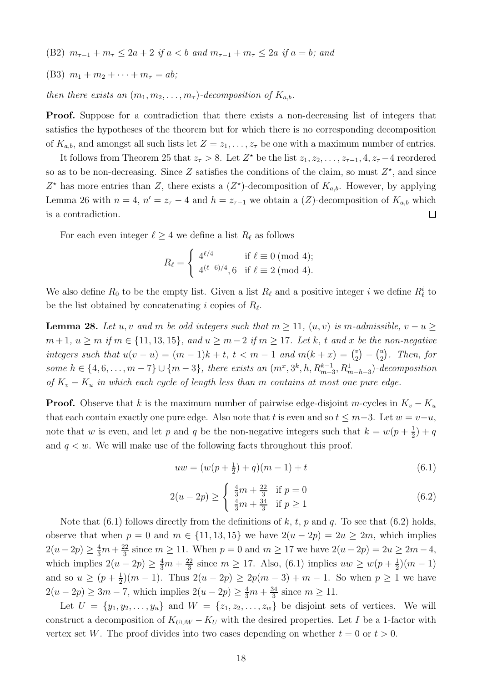- (B2)  $m_{\tau-1} + m_{\tau} \leq 2a + 2$  if  $a < b$  and  $m_{\tau-1} + m_{\tau} \leq 2a$  if  $a = b$ ; and
- (B3)  $m_1 + m_2 + \cdots + m_\tau = ab;$

then there exists an  $(m_1, m_2, \ldots, m_\tau)$ -decomposition of  $K_{a,b}$ .

Proof. Suppose for a contradiction that there exists a non-decreasing list of integers that satisfies the hypotheses of the theorem but for which there is no corresponding decomposition of  $K_{a,b}$ , and amongst all such lists let  $Z = z_1, \ldots, z_\tau$  be one with a maximum number of entries.

It follows from Theorem [25](#page-16-3) that  $z_{\tau} > 8$ . Let  $Z^*$  be the list  $z_1, z_2, \ldots, z_{\tau-1}, 4, z_{\tau} - 4$  reordered so as to be non-decreasing. Since Z satisfies the conditions of the claim, so must  $Z^*$ , and since  $Z^*$  has more entries than Z, there exists a  $(Z^*)$ -decomposition of  $K_{a,b}$ . However, by applying Lemma [26](#page-16-5) with  $n = 4$ ,  $n' = z<sub>\tau</sub> - 4$  and  $h = z<sub>\tau-1</sub>$  we obtain a  $(Z)$ -decomposition of  $K_{a,b}$  which is a contradiction.  $\Box$ 

For each even integer  $\ell \geq 4$  we define a list  $R_{\ell}$  as follows

$$
R_{\ell} = \begin{cases} 4^{\ell/4} & \text{if } \ell \equiv 0 \text{ (mod 4)}; \\ 4^{(\ell-6)/4}, 6 & \text{if } \ell \equiv 2 \text{ (mod 4)}. \end{cases}
$$

We also define  $R_0$  to be the empty list. Given a list  $R_\ell$  and a positive integer i we define  $R_\ell^i$  to be the list obtained by concatenating i copies of  $R_{\ell}$ .

<span id="page-17-0"></span>**Lemma 28.** Let u, v and m be odd integers such that  $m \ge 11$ ,  $(u, v)$  is m-admissible,  $v - u \ge$  $m+1, u \ge m$  if  $m \in \{11, 13, 15\}$ , and  $u \ge m-2$  if  $m \ge 17$ . Let k, t and x be the non-negative integers such that  $u(v - u) = (m - 1)k + t$ ,  $t < m - 1$  and  $m(k + x) = \binom{v}{2}$  $\binom{v}{2} - \binom{u}{2}$  $\binom{u}{2}$ . Then, for some  $h \in \{4, 6, \ldots, m-7\} \cup \{m-3\}$ , there exists an  $(m^x, 3^k, h, R_{m-3}^{k-1}, R_{m-h-3}^1)$ -decomposition of  $K_v - K_u$  in which each cycle of length less than m contains at most one pure edge.

**Proof.** Observe that k is the maximum number of pairwise edge-disjoint m-cycles in  $K_v - K_u$ that each contain exactly one pure edge. Also note that t is even and so  $t \leq m-3$ . Let  $w = v-u$ , note that w is even, and let p and q be the non-negative integers such that  $k = w(p + \frac{1}{2})$  $(\frac{1}{2})+q$ and  $q \leq w$ . We will make use of the following facts throughout this proof.

<span id="page-17-1"></span>
$$
uw = (w(p + \frac{1}{2}) + q)(m - 1) + t
$$
\n(6.1)

<span id="page-17-2"></span>
$$
2(u - 2p) \ge \begin{cases} \frac{4}{3}m + \frac{22}{3} & \text{if } p = 0\\ \frac{4}{3}m + \frac{34}{3} & \text{if } p \ge 1 \end{cases}
$$
 (6.2)

Note that  $(6.1)$  follows directly from the definitions of k, t, p and q. To see that  $(6.2)$  holds, observe that when  $p = 0$  and  $m \in \{11, 13, 15\}$  we have  $2(u - 2p) = 2u \ge 2m$ , which implies  $2(u-2p) \geq \frac{4}{3}m + \frac{22}{3}$  $\frac{22}{3}$  since  $m \ge 11$ . When  $p = 0$  and  $m \ge 17$  we have  $2(u - 2p) = 2u \ge 2m - 4$ , which implies  $2(u - 2p) \ge \frac{4}{3}m + \frac{22}{3}$  $\frac{22}{3}$  since  $m \ge 17$ . Also, [\(6.1\)](#page-17-1) implies  $uw \ge w(p + \frac{1}{2})$  $\frac{1}{2}(m-1)$ and so  $u \geq (p + \frac{1}{2})$  $\frac{1}{2}(m-1)$ . Thus  $2(u-2p) \ge 2p(m-3) + m - 1$ . So when  $p \ge 1$  we have  $2(u - 2p) \ge 3m - 7$ , which implies  $2(u - 2p) \ge \frac{4}{3}m + \frac{34}{3}$  $\frac{34}{3}$  since  $m \ge 11$ .

Let  $U = \{y_1, y_2, \ldots, y_u\}$  and  $W = \{z_1, z_2, \ldots, z_w\}$  be disjoint sets of vertices. We will construct a decomposition of  $K_{U\cup W} - K_U$  with the desired properties. Let I be a 1-factor with vertex set W. The proof divides into two cases depending on whether  $t = 0$  or  $t > 0$ .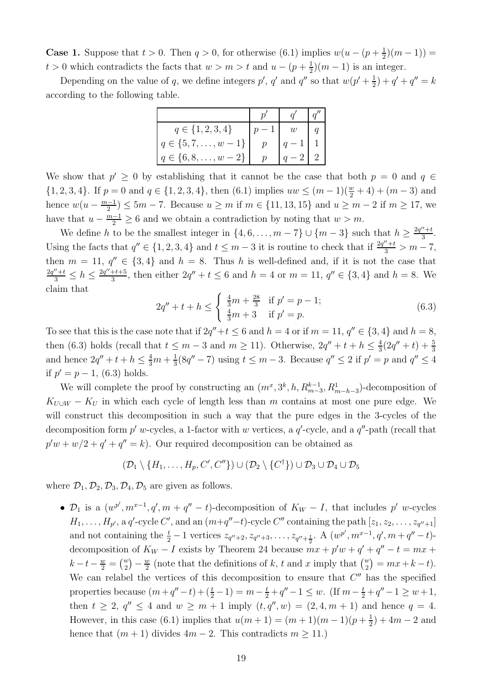**Case 1.** Suppose that  $t > 0$ . Then  $q > 0$ , for otherwise [\(6.1\)](#page-17-1) implies  $w(u - (p + \frac{1}{2}))$  $(\frac{1}{2})(m-1)) =$  $t > 0$  which contradicts the facts that  $w > m > t$  and  $u - (p + \frac{1}{2})$  $\frac{1}{2}(m-1)$  is an integer.

Depending on the value of q, we define integers  $p'$ , q' and q'' so that  $w(p'+\frac{1}{2})$  $(\frac{1}{2}) + q' + q'' = k$ according to the following table.

| $q \in \{1, 2, 3, 4\}$        |                     | w        |  |
|-------------------------------|---------------------|----------|--|
| $q \in \{5, 7, \ldots, w-1\}$ | $\boldsymbol{\eta}$ | $\alpha$ |  |
| $q \in \{6, 8, \ldots, w-2\}$ |                     |          |  |

We show that  $p' \geq 0$  by establishing that it cannot be the case that both  $p = 0$  and  $q \in$  $\{1, 2, 3, 4\}$ . If  $p = 0$  and  $q \in \{1, 2, 3, 4\}$ , then  $(6.1)$  implies  $uw \leq (m-1)(\frac{w}{2} + 4) + (m-3)$  and hence  $w(u - \frac{m-1}{2})$  $\frac{2}{2}$  ≤ 5m – 7. Because  $u \ge m$  if  $m \in \{11, 13, 15\}$  and  $u \ge m - 2$  if  $m \ge 17$ , we have that  $u - \frac{m-1}{2} \ge 6$  and we obtain a contradiction by noting that  $w > m$ .

We define h to be the smallest integer in  $\{4, 6, \ldots, m-7\} \cup \{m-3\}$  such that  $h \geq \frac{2q''+t}{3}$  $\frac{r+t}{3}$ . Using the facts that  $q'' \in \{1, 2, 3, 4\}$  and  $t \leq m-3$  it is routine to check that if  $\frac{2q''+t}{3} > m-7$ , then  $m = 11$ ,  $q'' \in \{3, 4\}$  and  $h = 8$ . Thus h is well-defined and, if it is not the case that  $\frac{2q''+t}{3} \leq h \leq \frac{2q''+t+5}{3}$  $\frac{3+t+5}{3}$ , then either  $2q'' + t \le 6$  and  $h = 4$  or  $m = 11$ ,  $q'' \in \{3, 4\}$  and  $h = 8$ . We claim that

<span id="page-18-0"></span>
$$
2q'' + t + h \le \begin{cases} \frac{4}{3}m + \frac{28}{3} & \text{if } p' = p - 1; \\ \frac{4}{3}m + 3 & \text{if } p' = p. \end{cases}
$$
 (6.3)

To see that this is the case note that if  $2q''+t \leq 6$  and  $h = 4$  or if  $m = 11$ ,  $q'' \in \{3, 4\}$  and  $h = 8$ , then [\(6.3\)](#page-18-0) holds (recall that  $t \leq m-3$  and  $m \geq 11$ ). Otherwise,  $2q'' + t + h \leq \frac{4}{3}$  $rac{4}{3}(2q'' + t) + \frac{5}{3}$ and hence  $2q'' + t + h \leq \frac{4}{3}m + \frac{1}{3}$  $\frac{1}{3}(8q''-7)$  using  $t \leq m-3$ . Because  $q'' \leq 2$  if  $p' = p$  and  $q'' \leq 4$ if  $p' = p - 1$ , [\(6.3\)](#page-18-0) holds.

We will complete the proof by constructing an  $(m^x, 3^k, h, R_{m-3}^{k-1}, R_{m-h-3}^1)$ -decomposition of  $K_{U\cup W} - K_U$  in which each cycle of length less than m contains at most one pure edge. We will construct this decomposition in such a way that the pure edges in the 3-cycles of the decomposition form  $p'$  w-cycles, a 1-factor with w vertices, a  $q'$ -cycle, and a  $q''$ -path (recall that  $p'w + w/2 + q' + q'' = k$ . Our required decomposition can be obtained as

$$
(\mathcal{D}_1 \setminus \{H_1, \ldots, H_p, C', C''\}) \cup (\mathcal{D}_2 \setminus \{C^{\dagger}\}) \cup \mathcal{D}_3 \cup \mathcal{D}_4 \cup \mathcal{D}_5
$$

where  $\mathcal{D}_1, \mathcal{D}_2, \mathcal{D}_3, \mathcal{D}_4, \mathcal{D}_5$  are given as follows.

•  $\mathcal{D}_1$  is a  $(w^{p'}, m^{x-1}, q', m + q'' - t)$ -decomposition of  $K_W - I$ , that includes p' w-cycles  $H_1, \ldots, H_{p'}$ , a q'-cycle  $C'$ , and an  $(m+q''-t)$ -cycle  $C''$  containing the path  $[z_1, z_2, \ldots, z_{q''+1}]$ and not containing the  $\frac{t}{2} - 1$  vertices  $z_{q''+2}, z_{q''+3}, \ldots, z_{q''+\frac{t}{2}}$ . A  $(w^{p'}, m^{x-1}, q', m+q''-t)$ decomposition of  $K_W - I$  exists by Theorem [24](#page-16-2) because  $mx + p'w + q' + q'' - t = mx +$  $k - t - \frac{w}{2} = {w \choose 2} - \frac{w}{2}$  $\frac{w}{2}$  (note that the definitions of k, t and x imply that  $\binom{w}{2} = mx + k - t$ ). We can relabel the vertices of this decomposition to ensure that  $C''$  has the specified properties because  $(m+q''-t)+(\frac{t}{2}-1) = m-\frac{t}{2}+q''-1 \leq w$ . (If  $m-\frac{t}{2}+q''-1 \geq w+1$ , then  $t \ge 2$ ,  $q'' \le 4$  and  $w \ge m+1$  imply  $(t, q'', w) = (2, 4, m+1)$  and hence  $q = 4$ . However, in this case [\(6.1\)](#page-17-1) implies that  $u(m+1) = (m+1)(m-1)(p+\frac{1}{2})$  $(\frac{1}{2}) + 4m - 2$  and hence that  $(m + 1)$  divides  $4m - 2$ . This contradicts  $m \ge 11$ .)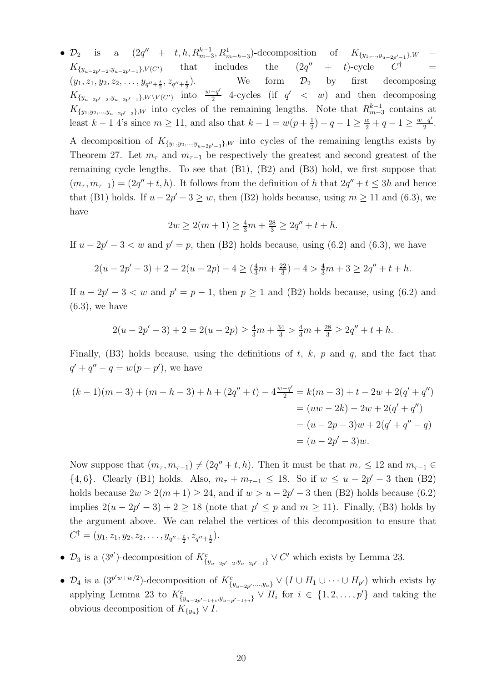•  $\mathcal{D}_2$  is a  $(2q'' + t, h, R_{m-3}^{k-1}, R_{m-h-3}^1)$ -decomposition of  $K_{\{y_1,...,y_{u-2p'-1}\},W}$  –  $K_{\{y_{u-2p'-2}, y_{u-2p'-1}\}, V(C')}$  that includes the  $(2q)$  $(2q'' + t)$ -cycle  $=$  $(y_1, z_1, y_2, z_2, \ldots, y_{q''+\frac{t}{2}}, z_{q''+\frac{t}{2}})$  $(\frac{t}{2}, z_{q''+\frac{t}{2}})$ . We form  $\mathcal{D}_2$  by first decomposing  $K_{\{y_{u-2p'-2}, y_{u-2p'-1}\}, W \setminus V(C')}$  into  $\frac{w-q'}{2}$  $\frac{-q'}{2}$  4-cycles (if  $q' < w$ ) and then decomposing  $K_{\{y_1,y_2,\dots,y_{u-2p'-3}\}\,W}$  into cycles of the remaining lengths. Note that  $R_{m-3}^{k-1}$  contains at least  $k-1$  4's since  $m \ge 11$ , and also that  $k-1 = w(p+\frac{1}{2})$  $(\frac{1}{2}) + q - 1 \ge \frac{w}{2} + q - 1 \ge \frac{w - q'}{2}$  $\frac{-q}{2}$ .

A decomposition of  $K_{\{y_1,y_2,\dots,y_{u-2p'-3}\}\,}$  into cycles of the remaining lengths exists by Theorem [27.](#page-16-4) Let  $m_{\tau}$  and  $m_{\tau-1}$  be respectively the greatest and second greatest of the remaining cycle lengths. To see that (B1), (B2) and (B3) hold, we first suppose that  $(m_{\tau}, m_{\tau-1}) = (2q'' + t, h)$ . It follows from the definition of h that  $2q'' + t \leq 3h$  and hence that (B1) holds. If  $u - 2p' - 3 \ge w$ , then (B2) holds because, using  $m \ge 11$  and [\(6.3\)](#page-18-0), we have

$$
2w \ge 2(m+1) \ge \frac{4}{3}m + \frac{28}{3} \ge 2q'' + t + h.
$$

If  $u - 2p' - 3 < w$  and  $p' = p$ , then (B2) holds because, using [\(6.2\)](#page-17-2) and [\(6.3\)](#page-18-0), we have

$$
2(u - 2p' - 3) + 2 = 2(u - 2p) - 4 \ge \left(\frac{4}{3}m + \frac{22}{3}\right) - 4 > \frac{4}{3}m + 3 \ge 2q'' + t + h.
$$

If  $u - 2p' - 3 < w$  and  $p' = p - 1$ , then  $p \ge 1$  and (B2) holds because, using [\(6.2\)](#page-17-2) and  $(6.3)$ , we have

$$
2(u - 2p' - 3) + 2 = 2(u - 2p) \ge \frac{4}{3}m + \frac{34}{3} > \frac{4}{3}m + \frac{28}{3} \ge 2q'' + t + h.
$$

Finally,  $(B3)$  holds because, using the definitions of t, k, p and q, and the fact that  $q' + q'' - q = w(p - p')$ , we have

$$
(k-1)(m-3) + (m-h-3) + h + (2q'' + t) - 4\frac{w-q'}{2} = k(m-3) + t - 2w + 2(q' + q'')
$$
  
=  $(uw - 2k) - 2w + 2(q' + q'')$   
=  $(u - 2p - 3)w + 2(q' + q'' - q)$   
=  $(u - 2p' - 3)w$ .

Now suppose that  $(m_{\tau}, m_{\tau-1}) \neq (2q'' + t, h)$ . Then it must be that  $m_{\tau} \leq 12$  and  $m_{\tau-1} \in$  $\{4, 6\}$ . Clearly (B1) holds. Also,  $m_{\tau} + m_{\tau-1} \leq 18$ . So if  $w \leq u - 2p' - 3$  then (B2) holds because  $2w \ge 2(m+1) \ge 24$ , and if  $w > u - 2p' - 3$  then (B2) holds because [\(6.2\)](#page-17-2) implies  $2(u - 2p' - 3) + 2 \ge 18$  (note that  $p' \le p$  and  $m \ge 11$ ). Finally, (B3) holds by the argument above. We can relabel the vertices of this decomposition to ensure that  $C^{\dagger} = (y_1, z_1, y_2, z_2, \ldots, y_{q'' + \frac{t}{2}}, z_{q'' + \frac{t}{2}}).$ 

- $\mathcal{D}_3$  is a  $(3^{q'})$ -decomposition of  $K^c_{\{y_{u-2p'-2}, y_{u-2p'-1}\}} \vee C'$  which exists by Lemma [23.](#page-16-1)
- $\mathcal{D}_4$  is a  $(3^{p'w+w/2})$ -decomposition of  $K^c_{\{y_{u-2p'},...,y_u\}} \vee (I \cup H_1 \cup \cdots \cup H_{p'})$  which exists by applying Lemma [23](#page-16-1) to  $K_{\{y_{u-2p'-1+i},y_{u-p'-1+i}\}}^c \vee H_i$  for  $i \in \{1,2,\ldots,p'\}$  and taking the obvious decomposition of  $K_{\{y_u\}} \vee I$ .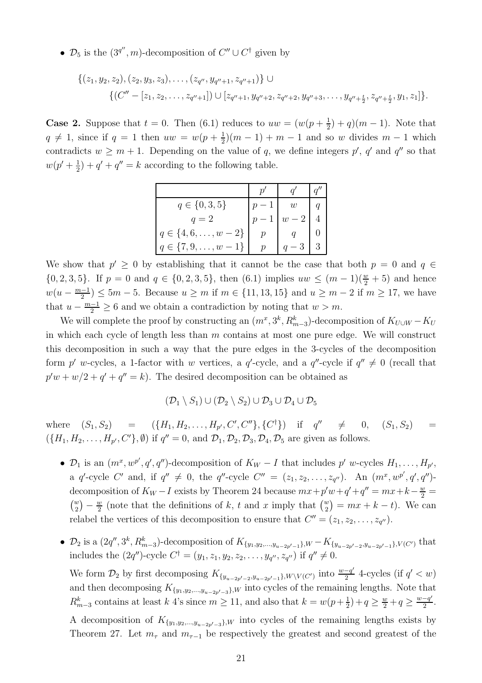•  $\mathcal{D}_5$  is the  $(3^{q''}, m)$ -decomposition of  $C'' \cup C^{\dagger}$  given by

$$
\{(z_1, y_2, z_2), (z_2, y_3, z_3), \dots, (z_{q''}, y_{q''+1}, z_{q''+1})\} \cup \{ (C'' - [z_1, z_2, \dots, z_{q''+1}]) \cup [z_{q''+1}, y_{q''+2}, z_{q''+2}, y_{q''+3}, \dots, y_{q''+\frac{t}{2}}, z_{q''+\frac{t}{2}}, y_1, z_1] \}.
$$

**Case 2.** Suppose that  $t = 0$ . Then [\(6.1\)](#page-17-1) reduces to  $uw = (w(p + \frac{1}{2}))$  $(\frac{1}{2}) + q(m - 1)$ . Note that  $q \neq 1$ , since if  $q = 1$  then  $uw = w(p + \frac{1}{2})$  $\frac{1}{2}(m-1) + m - 1$  and so w divides  $m-1$  which contradicts  $w \geq m+1$ . Depending on the value of q, we define integers p', q' and q'' so that  $w(p' + \frac{1}{2})$  $(\frac{1}{2}) + q' + q'' = k$  according to the following table.

| $q \in \{0, 3, 5\}$           | $\overline{w}$ |  |
|-------------------------------|----------------|--|
| $q=2$                         |                |  |
| $q \in \{4, 6, \ldots, w-2\}$ |                |  |
| $q \in \{7, 9, \ldots, w\}$   |                |  |

We show that  $p' \geq 0$  by establishing that it cannot be the case that both  $p = 0$  and  $q \in$  ${0, 2, 3, 5}$ . If  $p = 0$  and  $q \in \{0, 2, 3, 5\}$ , then  $(6.1)$  implies  $uw \leq (m-1)(\frac{w}{2} + 5)$  and hence  $w(u-\frac{m-1}{2})$  $\frac{n-1}{2}$  ≤ 5m – 5. Because  $u \ge m$  if  $m \in \{11, 13, 15\}$  and  $u \ge m - 2$  if  $m \ge 17$ , we have that  $u - \frac{m-1}{2} \ge 6$  and we obtain a contradiction by noting that  $w > m$ .

We will complete the proof by constructing an  $(m^x, 3^k, R^k_{m-3})$ -decomposition of  $K_{U \cup W} - K_U$ in which each cycle of length less than  $m$  contains at most one pure edge. We will construct this decomposition in such a way that the pure edges in the 3-cycles of the decomposition form p' w-cycles, a 1-factor with w vertices, a q'-cycle, and a  $q''$ -cycle if  $q'' \neq 0$  (recall that  $p'w + w/2 + q' + q'' = k$ . The desired decomposition can be obtained as

$$
(\mathcal{D}_1 \setminus S_1) \cup (\mathcal{D}_2 \setminus S_2) \cup \mathcal{D}_3 \cup \mathcal{D}_4 \cup \mathcal{D}_5
$$

where  $(S_1, S_2)$  =  $(\{H_1, H_2, \ldots, H_{p'}, C', C''\}, \{C^{\dagger}\})$  if  $q'' \neq 0, (S_1, S_2)$  =  $({H_1, H_2, \ldots, H_{p'}, C'}, \emptyset)$  if  $q'' = 0$ , and  $\mathcal{D}_1, \mathcal{D}_2, \mathcal{D}_3, \mathcal{D}_4, \mathcal{D}_5$  are given as follows.

- $\mathcal{D}_1$  is an  $(m^x, w^{p'}, q', q'')$ -decomposition of  $K_W I$  that includes p' w-cycles  $H_1, \ldots, H_{p'}$ , a q'-cycle C' and, if  $q'' \neq 0$ , the q''-cycle C'' =  $(z_1, z_2, ..., z_{q''})$ . An  $(m^x, w^{p'}, q', q'')$ decomposition of  $K_W - I$  exists by Theorem [24](#page-16-2) because  $mx + p'w + q' + q'' = mx + k - \frac{w}{2} =$  $\binom{w}{2} - \frac{w}{2}$  $\frac{w}{2}$  (note that the definitions of k, t and x imply that  $\binom{w}{2} = mx + k - t$ ). We can relabel the vertices of this decomposition to ensure that  $C'' = (z_1, z_2, \ldots, z_{q''}).$
- $\mathcal{D}_2$  is a  $(2q'', 3^k, R^k_{m-3})$ -decomposition of  $K_{\{y_1, y_2, \dots, y_{u-2p'-1}\}, W} K_{\{y_{u-2p'-2}, y_{u-2p'-1}\}, V(C')}$  that includes the  $(2q'')$ -cycle  $C^{\dagger} = (y_1, z_1, y_2, z_2, \dots, y_{q''}, z_{q''})$  if  $q'' \neq 0$ .

We form  $\mathcal{D}_2$  by first decomposing  $K_{\{y_{u-2p'-2}, y_{u-2p'-1}\},W\setminus V(C')}$  into  $\frac{w-q'}{2}$  $\frac{-q'}{2}$  4-cycles (if  $q' < w$ ) and then decomposing  $K_{\{y_1,y_2,\dots,y_{u-2p'-3}\},W}$  into cycles of the remaining lengths. Note that  $R_{m-3}^k$  contains at least k 4's since  $m \ge 11$ , and also that  $k = w(p + \frac{1}{2})$  $(\frac{1}{2})+q \geq \frac{w}{2}+q \geq \frac{w-q}{2}$  $\frac{-q}{2}$ . A decomposition of  $K_{\{y_1,y_2,\dots,y_{u-2p'-3}\}\,}$  into cycles of the remaining lengths exists by Theorem [27.](#page-16-4) Let  $m_{\tau}$  and  $m_{\tau-1}$  be respectively the greatest and second greatest of the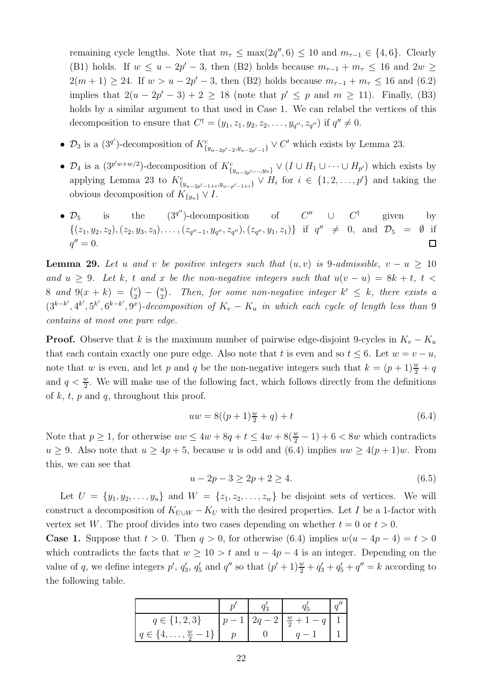remaining cycle lengths. Note that  $m_{\tau} \leq \max(2q'', 6) \leq 10$  and  $m_{\tau-1} \in \{4, 6\}$ . Clearly (B1) holds. If  $w \le u - 2p' - 3$ , then (B2) holds because  $m_{\tau-1} + m_{\tau} \le 16$  and  $2w \ge$  $2(m+1) \ge 24$ . If  $w > u - 2p' - 3$ , then (B2) holds because  $m_{\tau-1} + m_{\tau} \le 16$  and [\(6.2\)](#page-17-2) implies that  $2(u - 2p' - 3) + 2 \ge 18$  (note that  $p' \le p$  and  $m \ge 11$ ). Finally, (B3) holds by a similar argument to that used in Case 1. We can relabel the vertices of this decomposition to ensure that  $C^{\dagger} = (y_1, z_1, y_2, z_2, \dots, y_{q''}, z_{q''})$  if  $q'' \neq 0$ .

- $\mathcal{D}_3$  is a  $(3^{q'})$ -decomposition of  $K_{\{y_{u-2p'-2},y_{u-2p'-1}\}}^c \vee C'$  which exists by Lemma [23.](#page-16-1)
- $\mathcal{D}_4$  is a  $(3^{p'w+w/2})$ -decomposition of  $K^c_{\{y_{u-2p'},...,y_u\}} \vee (I \cup H_1 \cup \cdots \cup H_{p'})$  which exists by applying Lemma [23](#page-16-1) to  $K_{\{y_{u-2p'-1+i},y_{u-p'-1+i}\}}^c \vee H_i$  for  $i \in \{1,2,\ldots,p'\}$  and taking the obvious decomposition of  $K_{\{y_u\}} \vee I$ .
- $(3^{q''})$ -decomposition of •  $\mathcal{D}_5$  is the  $^{\prime\prime}$  ∪  $C^\dagger$ given by  $\{(z_1, y_2, z_2), (z_2, y_3, z_3), \ldots, (z_{q''-1}, y_{q''}, z_{q''}), (z_{q''}, y_1, z_1)\}$  if  $q'' \neq 0$ , and  $\mathcal{D}_5 = \emptyset$  if  $q'' = 0.$  $\Box$

<span id="page-21-0"></span>**Lemma 29.** Let u and v be positive integers such that  $(u, v)$  is 9-admissible,  $v - u \ge 10$ and  $u \geq 9$ . Let k, t and x be the non-negative integers such that  $u(v - u) = 8k + t$ ,  $t <$ 8 and  $9(x + k) = {y \choose 2}$  $\binom{v}{2}$  –  $\binom{u}{2}$  $\binom{u}{2}$ . Then, for some non-negative integer  $k' \leq k$ , there exists a  $(3^{k-k'}, 4^{k'}, 5^{k'}, 6^{k-k'}, 9^x)$ -decomposition of  $K_v - K_u$  in which each cycle of length less than 9 contains at most one pure edge.

**Proof.** Observe that k is the maximum number of pairwise edge-disjoint 9-cycles in  $K_v - K_u$ that each contain exactly one pure edge. Also note that t is even and so  $t \leq 6$ . Let  $w = v - u$ , note that w is even, and let p and q be the non-negative integers such that  $k = (p+1)\frac{w}{2} + q$ and  $q < \frac{w}{2}$ . We will make use of the following fact, which follows directly from the definitions of  $k$ ,  $t$ ,  $p$  and  $q$ , throughout this proof.

<span id="page-21-1"></span>
$$
uw = 8((p+1)\frac{w}{2} + q) + t \tag{6.4}
$$

Note that  $p \ge 1$ , for otherwise  $uw \le 4w + 8q + t \le 4w + 8(\frac{w}{2} - 1) + 6 < 8w$  which contradicts  $u \ge 9$ . Also note that  $u \ge 4p + 5$ , because u is odd and  $(6.4)$  implies  $uw \ge 4(p+1)w$ . From this, we can see that

<span id="page-21-2"></span>
$$
u - 2p - 3 \ge 2p + 2 \ge 4. \tag{6.5}
$$

Let  $U = \{y_1, y_2, \ldots, y_u\}$  and  $W = \{z_1, z_2, \ldots, z_w\}$  be disjoint sets of vertices. We will construct a decomposition of  $K_{U\cup W} - K_U$  with the desired properties. Let I be a 1-factor with vertex set W. The proof divides into two cases depending on whether  $t = 0$  or  $t > 0$ .

**Case 1.** Suppose that  $t > 0$ . Then  $q > 0$ , for otherwise [\(6.4\)](#page-21-1) implies  $w(u - 4p - 4) = t > 0$ which contradicts the facts that  $w \geq 10 > t$  and  $u - 4p - 4$  is an integer. Depending on the value of q, we define integers  $p'$ ,  $q'_3$ ,  $q'_5$  and  $q''$  so that  $(p'+1)\frac{w}{2} + q'_3 + q'_5 + q'' = k$  according to the following table.

| $q \in \{1, 2, 3\}$                    |  | $2q-2\left\lfloor \frac{w}{2}+1-q\right\rfloor$ |  |
|----------------------------------------|--|-------------------------------------------------|--|
| $q \in \{4, \ldots, \frac{w}{2} - 1\}$ |  |                                                 |  |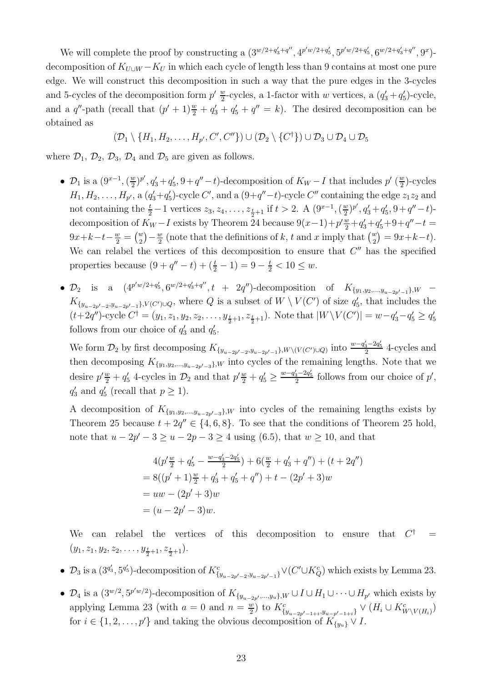We will complete the proof by constructing a  $(3^{w/2+q'_3+q''}, 4^{p'w/2+q'_5}, 5^{p'w/2+q'_5}, 6^{w/2+q'_3+q''}, 9^x)$ decomposition of  $K_{U\cup W} - K_U$  in which each cycle of length less than 9 contains at most one pure edge. We will construct this decomposition in such a way that the pure edges in the 3-cycles and 5-cycles of the decomposition form  $p' \frac{w}{2}$  $\frac{w}{2}$ -cycles, a 1-factor with w vertices, a  $(q'_3 + q'_5)$ -cycle, and a  $q''$ -path (recall that  $(p' + 1)\frac{w}{2} + q'_3 + q'_5 + q'' = k$ ). The desired decomposition can be obtained as

 $(\mathcal{D}_1\setminus\{H_1,H_2,\ldots,H_{p'},C',C''\})\cup(\mathcal{D}_2\setminus\{C^\dagger\})\cup\mathcal{D}_3\cup\mathcal{D}_4\cup\mathcal{D}_5$ 

where  $\mathcal{D}_1$ ,  $\mathcal{D}_2$ ,  $\mathcal{D}_3$ ,  $\mathcal{D}_4$  and  $\mathcal{D}_5$  are given as follows.

- $\mathcal{D}_1$  is a  $(9^{x-1}, (\frac{w}{2})^x)$  $(\frac{w}{2})^{p'}, q'_3 + q'_5, 9 + q'' - t$ -decomposition of  $K_W - I$  that includes  $p'$  ( $\frac{w}{2}$ )  $\frac{w}{2}$ )-cycles  $H_1, H_2, \ldots, H_{p'}$ , a  $(q'_3+q'_5)$ -cycle  $C'$ , and a  $(9+q''-t)$ -cycle  $C''$  containing the edge  $z_1z_2$  and not containing the  $\frac{t}{2} - 1$  vertices  $z_3, z_4, \ldots, z_{\frac{t}{2}+1}$  if  $t > 2$ . A  $(9^{x-1}, (\frac{w}{2})^x)$  $(\frac{w}{2})^{p'}, q'_3+q'_5, 9+q''-t$ decomposition of  $K_W - I$  exists by Theorem [24](#page-16-2) because  $9(x-1) + p' \frac{w}{2} + q'_3 + q'_5 + 9 + q'' - t =$  $9x+k-t-\frac{w}{2} = \binom{w}{2} - \frac{w}{2}$  $\frac{w}{2}$  (note that the definitions of k, t and x imply that  $\binom{w}{2} = 9x+k-t$ ). We can relabel the vertices of this decomposition to ensure that  $C''$  has the specified properties because  $(9+q''-t)+(\frac{t}{2}-1) = 9-\frac{t}{2} < 10 \leq w$ .
- $\mathcal{D}_2$  is a  $(4^{p'w/2+q'_5}, 6^{w/2+q'_3+q''}, t + 2q'')$ -decomposition of  $K_{\{y_1, y_2, ..., y_{u-2p'-1}\},W}$   $K_{\{y_{u-2p'-2},y_{u-2p'-1}\}\,V(C')\cup Q}$ , where Q is a subset of  $W\setminus V(C')$  of size  $q'_{5}$ , that includes the  $(t+2q'')$ -cycle  $C^{\dagger} = (y_1, z_1, y_2, z_2, \ldots, y_{\frac{t}{2}+1}, z_{\frac{t}{2}+1})$ . Note that  $|W \setminus V(C')| = w - q'_3 - q'_5 \ge q'_5$ follows from our choice of  $q'_3$  and  $q'_5$ .

We form  $\mathcal{D}_2$  by first decomposing  $K_{\{y_{u-2p'-2}, y_{u-2p'-1}\},W\setminus (V(C')\cup Q)}$  into  $\frac{w-q'_3-2q'_5}{2}$  4-cycles and then decomposing  $K_{\{y_1,y_2,\dots,y_{u-2p'-3}\},W}$  into cycles of the remaining lengths. Note that we desire  $p'\frac{w}{2} + q'_5$  4-cycles in  $\mathcal{D}_2$  and that  $p'\frac{w}{2} + q'_5 \ge \frac{w-q'_3-2q'_5}{2}$  follows from our choice of  $p'$ ,  $q'_3$  and  $q'_5$  (recall that  $p \ge 1$ ).

A decomposition of  $K_{\{y_1,y_2,\dots,y_{u-2p'-3}\},W}$  into cycles of the remaining lengths exists by Theorem [25](#page-16-3) because  $t + 2q'' \in \{4, 6, 8\}$ . To see that the conditions of Theorem 25 hold, note that  $u - 2p' - 3 \ge u - 2p - 3 \ge 4$  using [\(6.5\)](#page-21-2), that  $w \ge 10$ , and that

$$
4(p'\frac{w}{2} + q'_5 - \frac{w-q'_3 - 2q'_5}{2}) + 6(\frac{w}{2} + q'_3 + q'') + (t + 2q'')
$$
  
= 8((p' + 1)\frac{w}{2} + q'\_3 + q'\_5 + q'') + t - (2p' + 3)w  
= uw - (2p' + 3)w  
= (u - 2p' - 3)w.

We can relabel the vertices of this decomposition to ensure that  $C^{\dagger}$  $=$  $(y_1, z_1, y_2, z_2, \ldots, y_{\frac{t}{2}+1}, z_{\frac{t}{2}+1}).$ 

- $\mathcal{D}_3$  is a  $(3^{q'_3}, 5^{q'_5})$ -decomposition of  $K^c_{\{y_{u-2p'-2}, y_{u-2p'-1}\}} \vee (C' \cup K_Q^c)$  which exists by Lemma [23.](#page-16-1)
- $\mathcal{D}_4$  is a  $(3^{w/2}, 5^{p'w/2})$ -decomposition of  $K_{\{y_{u-2p'},...,y_u\},W} \cup I \cup H_1 \cup \cdots \cup H_{p'}$  which exists by applying Lemma [23](#page-16-1) (with  $a = 0$  and  $n = \frac{w}{2}$  $\frac{w}{2}$ ) to  $K_{\{y_{u-2p'-1+i}, y_{u-p'-1+i}\}}$  ∨  $(H_i \cup K_{W\setminus V(H_i)}^c)$ for  $i \in \{1, 2, \ldots, p'\}$  and taking the obvious decomposition of  $K_{\{y_u\}} \vee I$ .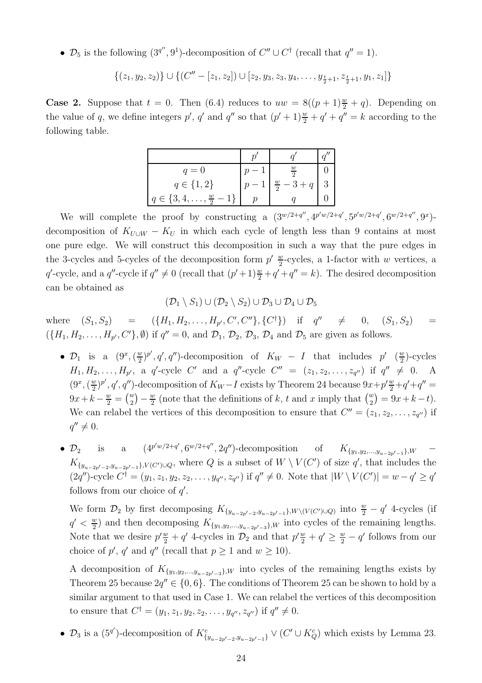•  $\mathcal{D}_5$  is the following  $(3^{q''}, 9^1)$ -decomposition of  $C'' \cup C^{\dagger}$  (recall that  $q'' = 1$ ).

$$
\{(z_1,y_2,z_2)\}\cup\{(C''-[z_1,z_2])\cup [z_2,y_3,z_3,y_4,\ldots,y_{\frac{t}{2}+1},z_{\frac{t}{2}+1},y_1,z_1]\}
$$

**Case 2.** Suppose that  $t = 0$ . Then [\(6.4\)](#page-21-1) reduces to  $uw = 8((p + 1)\frac{w}{2} + q)$ . Depending on the value of q, we define integers  $p'$ , q' and q'' so that  $(p'+1)\frac{w}{2} + q' + q'' = k$  according to the following table.

| $q=0$                                 | $\overline{2}$        |  |
|---------------------------------------|-----------------------|--|
| $q \in \{1,2\}$                       | $\frac{w}{2}$ – 3 + q |  |
| $q \in \{3, 4, \ldots, \frac{w}{2}\}$ |                       |  |

We will complete the proof by constructing a  $(3^{w/2+q''}, 4^{p'w/2+q'}, 5^{p'w/2+q'}, 6^{w/2+q''}, 9^x)$ decomposition of  $K_{U\cup W} - K_U$  in which each cycle of length less than 9 contains at most one pure edge. We will construct this decomposition in such a way that the pure edges in the 3-cycles and 5-cycles of the decomposition form  $p' \frac{w}{2}$  $\frac{w}{2}$ -cycles, a 1-factor with w vertices, a q'-cycle, and a q''-cycle if  $q'' \neq 0$  (recall that  $(p'+1)\frac{w}{2} + q' + q'' = k$ ). The desired decomposition can be obtained as

$$
(\mathcal{D}_1 \setminus S_1) \cup (\mathcal{D}_2 \setminus S_2) \cup \mathcal{D}_3 \cup \mathcal{D}_4 \cup \mathcal{D}_5
$$

where  $(S_1, S_2)$  =  $(\{H_1, H_2, \ldots, H_{p'}, C', C''\}, \{C^{\dagger}\})$  if  $q'' \neq 0, (S_1, S_2)$  =  $({H_1, H_2, \ldots, H_{p'}, C'}, \emptyset)$  if  $q'' = 0$ , and  $\mathcal{D}_1$ ,  $\mathcal{D}_2$ ,  $\mathcal{D}_3$ ,  $\mathcal{D}_4$  and  $\mathcal{D}_5$  are given as follows.

- $\mathcal{D}_1$  is a  $(9^x, (\frac{w}{2})^x)$  $(\frac{w}{2})^{p'}, q', q'')$ -decomposition of  $K_W - I$  that includes  $p'$   $(\frac{w}{2})$  $\frac{w}{2}$ )-cycles  $H_1, H_2, \ldots, H_{p'}$ , a q'-cycle C' and a q''-cycle C'' =  $(z_1, z_2, \ldots, z_{q''})$  if  $q'' \neq 0$ . A  $(9^x, (\frac{w}{2})$  $(\frac{w}{2})^{p'}, q', q'')$ -decomposition of  $K_W - I$  exists by Theorem [24](#page-16-2) because  $9x + p' \frac{w}{2} + q' + q'' =$  $9x + k - \frac{w}{2} = {w \choose 2} - \frac{w}{2}$  $\frac{w}{2}$  (note that the definitions of k, t and x imply that  $\binom{w}{2} = 9x + k - t$ ). We can relabel the vertices of this decomposition to ensure that  $C'' = (z_1, z_2, \ldots, z_{q''})$  if  $q'' \neq 0.$
- $\mathcal{D}_2$  is a  $(4^{p'w/2+q'}, 6^{w/2+q''}, 2q'')$ -decomposition of  $K_{\{y_1, y_2, ..., y_{u-2p'-1}\}}$  $K_{\{y_1,y_2,...,y_{n-2n'-1}\},W}$  $K_{\{y_{u-2p'-2},y_{u-2p'-1}\}\,V(C')\cup Q}$ , where Q is a subset of  $W\setminus V(C')$  of size q', that includes the  $(2q'')$ -cycle  $C^{\dagger} = (y_1, z_1, y_2, z_2, \ldots, y_{q''}, z_{q''})$  if  $q'' \neq 0$ . Note that  $|W \setminus V(C')| = w - q' \geq q'$ follows from our choice of  $q'$ .

We form  $\mathcal{D}_2$  by first decomposing  $K_{\{y_{u-2p'-2}, y_{u-2p'-1}\},W\setminus (V(C')\cup Q)}$  into  $\frac{w}{2}-q'$  4-cycles (if  $q' < \frac{w}{2}$  $\frac{w}{2}$ ) and then decomposing  $K_{\{y_1,y_2,\dots,y_{u-2p'-3}\},W}$  into cycles of the remaining lengths. Note that we desire  $p'\frac{w}{2} + q'$  4-cycles in  $\mathcal{D}_2$  and that  $p'\frac{w}{2} + q' \ge \frac{w}{2} - q'$  follows from our choice of p', q' and q'' (recall that  $p \ge 1$  and  $w \ge 10$ ).

A decomposition of  $K_{\{y_1,y_2,\dots,y_{u-2p'-3}\}\,}$  into cycles of the remaining lengths exists by Theorem [25](#page-16-3) because  $2q'' \in \{0, 6\}$ . The conditions of Theorem 25 can be shown to hold by a similar argument to that used in Case 1. We can relabel the vertices of this decomposition to ensure that  $C^{\dagger} = (y_1, z_1, y_2, z_2, \dots, y_{q''}, z_{q''})$  if  $q'' \neq 0$ .

•  $\mathcal{D}_3$  is a  $(5^{q'})$ -decomposition of  $K_{\{y_{u-2p'-2}, y_{u-2p'-1}\}}^c \vee (C' \cup K_Q^c)$  which exists by Lemma [23.](#page-16-1)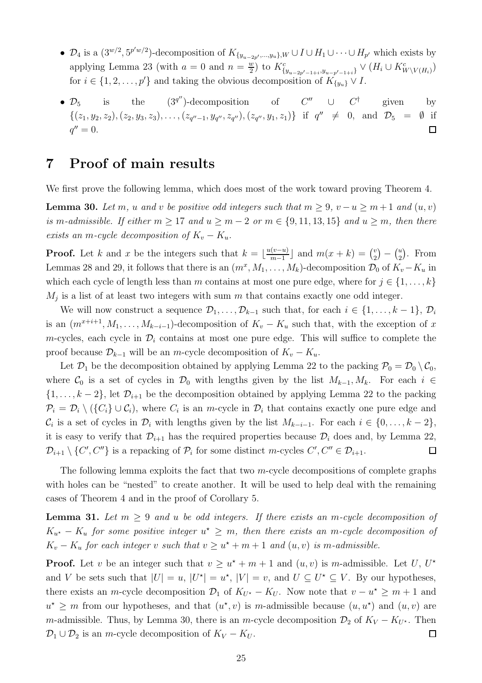- $\mathcal{D}_4$  is a  $(3^{w/2}, 5^{p'w/2})$ -decomposition of  $K_{\{y_{u-2p'},...,y_u\},W} \cup I \cup H_1 \cup \cdots \cup H_{p'}$  which exists by applying Lemma [23](#page-16-1) (with  $a = 0$  and  $n = \frac{w}{2}$ <u>w</u>) to  $K_{\{y_{u-2p'-1+i}, y_{u-p'-1+i}\}}^{c}$  ∨  $(H_i \cup K_{W\setminus V(H_i)}^{c})$ for  $i \in \{1, 2, \ldots, p'\}$  and taking the obvious decomposition of  $K_{\{y_u\}} \vee$
- $\mathcal{D}_5$  is the  $(3^{q''})$ -decomposition of  $C''$   $\cup$   $C^{\dagger}$ given by  $\{(z_1, y_2, z_2), (z_2, y_3, z_3), \ldots, (z_{q''-1}, y_{q''}, z_{q''}), (z_{q''}, y_1, z_1)\}$  if  $q'' \neq 0$ , and  $\mathcal{D}_5 = \emptyset$  if  $q'' = 0.$  $\Box$

# <span id="page-24-0"></span>7 Proof of main results

We first prove the following lemma, which does most of the work toward proving Theorem [4.](#page-2-0)

<span id="page-24-1"></span>**Lemma 30.** Let m, u and v be positive odd integers such that  $m \geq 9$ ,  $v - u \geq m + 1$  and  $(u, v)$ is m-admissible. If either  $m \geq 17$  and  $u \geq m-2$  or  $m \in \{9, 11, 13, 15\}$  and  $u \geq m$ , then there exists an m-cycle decomposition of  $K_v - K_u$ .

**Proof.** Let k and x be the integers such that  $k = \lfloor \frac{u(v-u)}{m-1} \rfloor$  $\frac{(v-u)}{m-1}$  and  $m(x+k) = {v \choose 2}$  $\binom{v}{2} - \binom{u}{2}$  $_{2}^{u}$ ). From Lemmas [28](#page-17-0) and [29,](#page-21-0) it follows that there is an  $(m^x, M_1, \ldots, M_k)$ -decomposition  $\mathcal{D}_0$  of  $K_v - K_u$  in which each cycle of length less than m contains at most one pure edge, where for  $j \in \{1, \ldots, k\}$  $M_j$  is a list of at least two integers with sum m that contains exactly one odd integer.

We will now construct a sequence  $\mathcal{D}_1, \ldots, \mathcal{D}_{k-1}$  such that, for each  $i \in \{1, \ldots, k-1\}, \mathcal{D}_i$ is an  $(m^{x+i+1}, M_1, \ldots, M_{k-i-1})$ -decomposition of  $K_v - K_u$  such that, with the exception of x m-cycles, each cycle in  $\mathcal{D}_i$  contains at most one pure edge. This will suffice to complete the proof because  $\mathcal{D}_{k-1}$  will be an m-cycle decomposition of  $K_v - K_u$ .

Let  $\mathcal{D}_1$  be the decomposition obtained by applying Lemma [22](#page-15-0) to the packing  $\mathcal{P}_0 = \mathcal{D}_0 \setminus \mathcal{C}_0$ , where  $\mathcal{C}_0$  is a set of cycles in  $\mathcal{D}_0$  with lengths given by the list  $M_{k-1}, M_k$ . For each  $i \in$  $\{1,\ldots,k-2\}$ , let  $\mathcal{D}_{i+1}$  be the decomposition obtained by applying Lemma [22](#page-15-0) to the packing  $\mathcal{P}_i = \mathcal{D}_i \setminus (\{C_i\} \cup C_i)$ , where  $C_i$  is an m-cycle in  $\mathcal{D}_i$  that contains exactly one pure edge and  $\mathcal{C}_i$  is a set of cycles in  $\mathcal{D}_i$  with lengths given by the list  $M_{k-i-1}$ . For each  $i \in \{0, \ldots, k-2\}$ , it is easy to verify that  $\mathcal{D}_{i+1}$  has the required properties because  $\mathcal{D}_i$  does and, by Lemma [22,](#page-15-0)  $\mathcal{D}_{i+1} \setminus \{C', C''\}$  is a repacking of  $\mathcal{P}_i$  for some distinct m-cycles  $C', C'' \in \mathcal{D}_{i+1}$ .  $\Box$ 

The following lemma exploits the fact that two  $m$ -cycle decompositions of complete graphs with holes can be "nested" to create another. It will be used to help deal with the remaining cases of Theorem [4](#page-2-0) and in the proof of Corollary [5.](#page-2-1)

<span id="page-24-2"></span>**Lemma 31.** Let  $m \geq 9$  and u be odd integers. If there exists an m-cycle decomposition of  $K_{u^*} - K_u$  for some positive integer  $u^* \geq m$ , then there exists an m-cycle decomposition of  $K_v - K_u$  for each integer v such that  $v \ge u^* + m + 1$  and  $(u, v)$  is m-admissible.

**Proof.** Let v be an integer such that  $v \geq u^* + m + 1$  and  $(u, v)$  is m-admissible. Let U, U<sup>\*</sup> and V be sets such that  $|U| = u$ ,  $|U^*| = u^*$ ,  $|V| = v$ , and  $U \subseteq U^* \subseteq V$ . By our hypotheses, there exists an m-cycle decomposition  $\mathcal{D}_1$  of  $K_{U^*} - K_U$ . Now note that  $v - u^* \ge m + 1$  and  $u^* \geq m$  from our hypotheses, and that  $(u^*, v)$  is m-admissible because  $(u, u^*)$  and  $(u, v)$  are m-admissible. Thus, by Lemma [30,](#page-24-1) there is an m-cycle decomposition  $\mathcal{D}_2$  of  $K_V - K_{U^*}$ . Then  $\mathcal{D}_1 \cup \mathcal{D}_2$  is an m-cycle decomposition of  $K_V - K_U$ .  $\Box$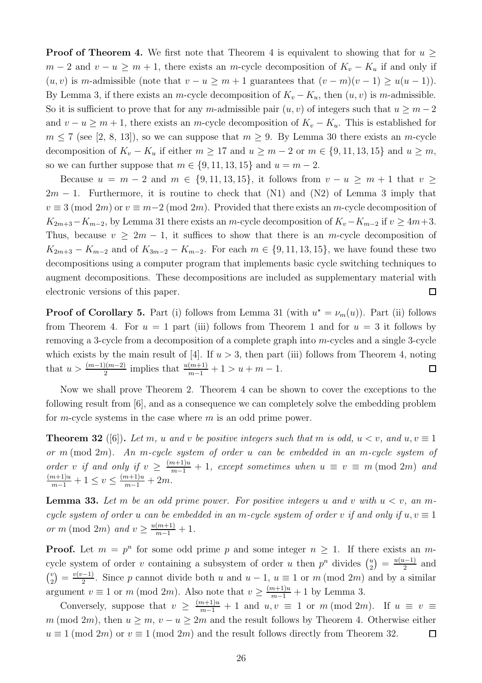**Proof of Theorem [4.](#page-2-0)** We first note that Theorem [4](#page-2-0) is equivalent to showing that for  $u \geq$  $m-2$  and  $v-u \ge m+1$ , there exists an m-cycle decomposition of  $K_v - K_u$  if and only if  $(u, v)$  is m-admissible (note that  $v - u \ge m + 1$  guarantees that  $(v - m)(v - 1) \ge u(u - 1)$ ). By Lemma [3,](#page-1-0) if there exists an m-cycle decomposition of  $K_v - K_u$ , then  $(u, v)$  is m-admissible. So it is sufficient to prove that for any m-admissible pair  $(u, v)$  of integers such that  $u \geq m-2$ and  $v - u \ge m + 1$ , there exists an m-cycle decomposition of  $K_v - K_u$ . This is established for  $m \le 7$  (see [\[2,](#page-26-1) [8,](#page-27-5) [13\]](#page-27-6)), so we can suppose that  $m \ge 9$ . By Lemma [30](#page-24-1) there exists an m-cycle decomposition of  $K_v - K_u$  if either  $m \ge 17$  and  $u \ge m - 2$  or  $m \in \{9, 11, 13, 15\}$  and  $u \ge m$ , so we can further suppose that  $m \in \{9, 11, 13, 15\}$  and  $u = m - 2$ .

Because  $u = m - 2$  and  $m \in \{9, 11, 13, 15\}$ , it follows from  $v - u \ge m + 1$  that  $v \ge$  $2m - 1$ . Furthermore, it is routine to check that (N1) and (N2) of Lemma [3](#page-1-0) imply that  $v \equiv 3 \pmod{2m}$  or  $v \equiv m-2 \pmod{2m}$ . Provided that there exists an m-cycle decomposition of  $K_{2m+3}-K_{m-2}$ , by Lemma [31](#page-24-2) there exists an m-cycle decomposition of  $K_v-K_{m-2}$  if  $v \geq 4m+3$ . Thus, because  $v \geq 2m - 1$ , it suffices to show that there is an m-cycle decomposition of  $K_{2m+3} - K_{m-2}$  and of  $K_{3m-2} - K_{m-2}$ . For each  $m \in \{9, 11, 13, 15\}$ , we have found these two decompositions using a computer program that implements basic cycle switching techniques to augment decompositions. These decompositions are included as supplementary material with  $\Box$ electronic versions of this paper.

**Proof of Corollary [5.](#page-2-1)** Part (i) follows from Lemma [31](#page-24-2) (with  $u^* = \nu_m(u)$ ). Part (ii) follows from Theorem [4.](#page-2-0) For  $u = 1$  $u = 1$  part (iii) follows from Theorem 1 and for  $u = 3$  it follows by removing a 3-cycle from a decomposition of a complete graph into m-cycles and a single 3-cycle which exists by the main result of [\[4\]](#page-27-9). If  $u > 3$ , then part (iii) follows from Theorem [4,](#page-2-0) noting that  $u > \frac{(m-1)(m-2)}{2}$  implies that  $\frac{u(m+1)}{m-1} + 1 > u + m - 1$ .  $\Box$ 

Now we shall prove Theorem [2.](#page-1-1) Theorem [4](#page-2-0) can be shown to cover the exceptions to the following result from [\[6\]](#page-27-4), and as a consequence we can completely solve the embedding problem for *m*-cycle systems in the case where *m* is an odd prime power.

<span id="page-25-0"></span>**Theorem 32** ([\[6\]](#page-27-4)). Let m, u and v be positive integers such that m is odd,  $u < v$ , and  $u, v \equiv 1$ or m (mod 2m). An m-cycle system of order u can be embedded in an m-cycle system of order v if and only if  $v \geq \frac{(m+1)u}{m-1} + 1$ , except sometimes when  $u \equiv v \equiv m \pmod{2m}$  and  $\frac{(m+1)u}{m-1} + 1 \le v \le \frac{(m+1)u}{m-1} + 2m.$ 

<span id="page-25-1"></span>**Lemma 33.** Let m be an odd prime power. For positive integers u and v with  $u < v$ , an mcycle system of order u can be embedded in an m-cycle system of order v if and only if  $u, v \equiv 1$ or m (mod 2m) and  $v \ge \frac{u(m+1)}{m-1} + 1$ .

**Proof.** Let  $m = p^n$  for some odd prime p and some integer  $n \ge 1$ . If there exists an mcycle system of order v containing a subsystem of order u then  $p^n$  divides  $\binom{u}{2}$  $\binom{u}{2} = \frac{u(u-1)}{2}$  $\frac{a-1}{2}$  and  $\binom{v}{2}$  $\binom{v}{2} = \frac{v(v-1)}{2}$  $\frac{(-1)}{2}$ . Since p cannot divide both u and  $u-1$ ,  $u \equiv 1$  or m (mod 2m) and by a similar argument  $v \equiv 1$  or  $m \pmod{2m}$ . Also note that  $v \geq \frac{(m+1)u}{m-1} + 1$  by Lemma [3.](#page-1-0)

Conversely, suppose that  $v \geq \frac{(m+1)u}{m-1} + 1$  and  $u, v \equiv 1$  or  $m \pmod{2m}$ . If  $u \equiv v \equiv 1$ m (mod 2m), then  $u \ge m$ ,  $v - u \ge 2m$  and the result follows by Theorem [4.](#page-2-0) Otherwise either  $u \equiv 1 \pmod{2m}$  or  $v \equiv 1 \pmod{2m}$  and the result follows directly from Theorem [32.](#page-25-0)  $\Box$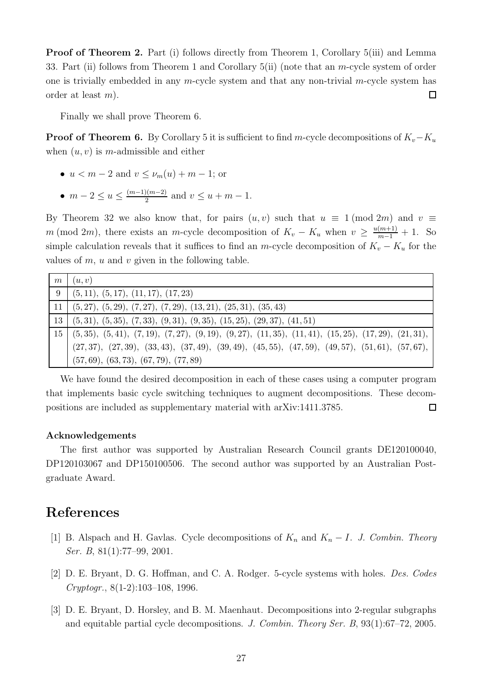Proof of Theorem [2.](#page-1-1) Part (i) follows directly from Theorem [1,](#page-0-0) Corollary [5\(](#page-2-1)iii) and Lemma [33.](#page-25-1) Part (ii) follows from Theorem [1](#page-0-0) and Corollary  $5(i)$  (note that an m-cycle system of order one is trivially embedded in any m-cycle system and that any non-trivial m-cycle system has order at least m).  $\Box$ 

Finally we shall prove Theorem [6.](#page-2-2)

**Proof of Theorem [6.](#page-2-2)** By Corollary [5](#page-2-1) it is sufficient to find m-cycle decompositions of  $K_v-K_u$ when  $(u, v)$  is m-admissible and either

- $u < m-2$  and  $v < \nu_m(u) + m-1$ ; or
- $m-2 \le u \le \frac{(m-1)(m-2)}{2}$  $\frac{2^{(m-2)}}{2}$  and  $v \le u + m - 1$ .

By Theorem [32](#page-25-0) we also know that, for pairs  $(u, v)$  such that  $u \equiv 1 \pmod{2m}$  and  $v \equiv$ m (mod 2m), there exists an m-cycle decomposition of  $K_v - K_u$  when  $v \ge \frac{u(m+1)}{m-1} + 1$ . So simple calculation reveals that it suffices to find an m-cycle decomposition of  $K_v - K_u$  for the values of  $m$ ,  $u$  and  $v$  given in the following table.

| m               | (u, v)                                                                                                |
|-----------------|-------------------------------------------------------------------------------------------------------|
| - 9             | (5, 11), (5, 17), (11, 17), (17, 23)                                                                  |
| 11              | $(5,27), (5,29), (7,27), (7,29), (13,21), (25,31), (35,43)$                                           |
| 13 <sup>1</sup> | $(5,31), (5,35), (7,33), (9,31), (9,35), (15,25), (29,37), (41,51)$                                   |
|                 | $15 [ (5,35), (5,41), (7,19), (7,27), (9,19), (9,27), (11,35), (11,41), (15,25), (17,29), (21,31),$   |
|                 | $(27, 37), (27, 39), (33, 43), (37, 49), (39, 49), (45, 55), (47, 59), (49, 57), (51, 61), (57, 67),$ |
|                 | $(57, 69), (63, 73), (67, 79), (77, 89)$                                                              |

We have found the desired decomposition in each of these cases using a computer program that implements basic cycle switching techniques to augment decompositions. These decompositions are included as supplementary material with arXiv:1411.3785.  $\Box$ 

#### Acknowledgements

The first author was supported by Australian Research Council grants DE120100040, DP120103067 and DP150100506. The second author was supported by an Australian Postgraduate Award.

## <span id="page-26-0"></span>References

- <span id="page-26-1"></span>[1] B. Alspach and H. Gavlas. Cycle decompositions of  $K_n$  and  $K_n - I$ . J. Combin. Theory Ser. B, 81(1):77–99, 2001.
- <span id="page-26-2"></span>[2] D. E. Bryant, D. G. Hoffman, and C. A. Rodger. 5-cycle systems with holes. Des. Codes Cryptogr., 8(1-2):103–108, 1996.
- [3] D. E. Bryant, D. Horsley, and B. M. Maenhaut. Decompositions into 2-regular subgraphs and equitable partial cycle decompositions. J. Combin. Theory Ser. B, 93(1):67–72, 2005.